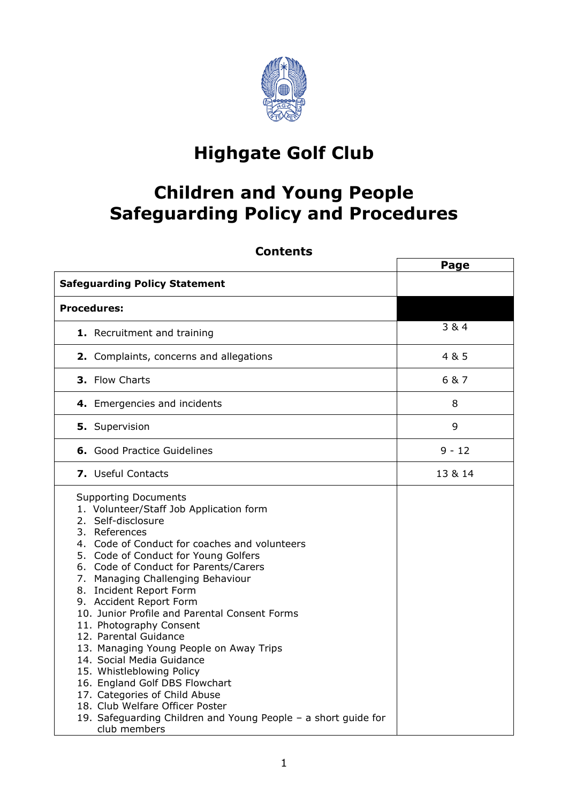

## **Highgate Golf Club**

### **Children and Young People Safeguarding Policy and Procedures**

| <b>Contents</b>                                                                                                                                                                                                                                                                                                                                                                                                                                                                                                                                                                                                                                                                                                                              |          |
|----------------------------------------------------------------------------------------------------------------------------------------------------------------------------------------------------------------------------------------------------------------------------------------------------------------------------------------------------------------------------------------------------------------------------------------------------------------------------------------------------------------------------------------------------------------------------------------------------------------------------------------------------------------------------------------------------------------------------------------------|----------|
|                                                                                                                                                                                                                                                                                                                                                                                                                                                                                                                                                                                                                                                                                                                                              | Page     |
| <b>Safeguarding Policy Statement</b>                                                                                                                                                                                                                                                                                                                                                                                                                                                                                                                                                                                                                                                                                                         |          |
| <b>Procedures:</b>                                                                                                                                                                                                                                                                                                                                                                                                                                                                                                                                                                                                                                                                                                                           |          |
| 1. Recruitment and training                                                                                                                                                                                                                                                                                                                                                                                                                                                                                                                                                                                                                                                                                                                  | 3 & 4    |
| 2. Complaints, concerns and allegations                                                                                                                                                                                                                                                                                                                                                                                                                                                                                                                                                                                                                                                                                                      | 4 & 5    |
| 3. Flow Charts                                                                                                                                                                                                                                                                                                                                                                                                                                                                                                                                                                                                                                                                                                                               | 6 & 7    |
| 4. Emergencies and incidents                                                                                                                                                                                                                                                                                                                                                                                                                                                                                                                                                                                                                                                                                                                 | 8        |
| 5. Supervision                                                                                                                                                                                                                                                                                                                                                                                                                                                                                                                                                                                                                                                                                                                               | 9        |
| <b>6.</b> Good Practice Guidelines                                                                                                                                                                                                                                                                                                                                                                                                                                                                                                                                                                                                                                                                                                           | $9 - 12$ |
| 7. Useful Contacts                                                                                                                                                                                                                                                                                                                                                                                                                                                                                                                                                                                                                                                                                                                           | 13 & 14  |
| <b>Supporting Documents</b><br>1. Volunteer/Staff Job Application form<br>2. Self-disclosure<br>3. References<br>4. Code of Conduct for coaches and volunteers<br>5. Code of Conduct for Young Golfers<br>6. Code of Conduct for Parents/Carers<br>7. Managing Challenging Behaviour<br>8. Incident Report Form<br>9. Accident Report Form<br>10. Junior Profile and Parental Consent Forms<br>11. Photography Consent<br>12. Parental Guidance<br>13. Managing Young People on Away Trips<br>14. Social Media Guidance<br>15. Whistleblowing Policy<br>16. England Golf DBS Flowchart<br>17. Categories of Child Abuse<br>18. Club Welfare Officer Poster<br>19. Safeguarding Children and Young People - a short guide for<br>club members |          |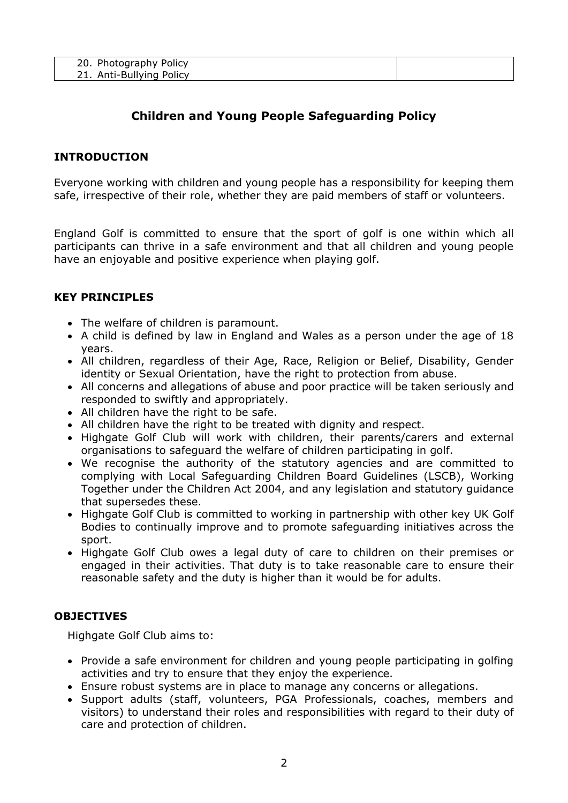| 20. Photography Policy |  |
|------------------------|--|
| Anti-Bullying Policy   |  |

#### **Children and Young People Safeguarding Policy**

#### **INTRODUCTION**

Everyone working with children and young people has a responsibility for keeping them safe, irrespective of their role, whether they are paid members of staff or volunteers.

England Golf is committed to ensure that the sport of golf is one within which all participants can thrive in a safe environment and that all children and young people have an enjoyable and positive experience when playing golf.

#### **KEY PRINCIPLES**

- The welfare of children is paramount.
- A child is defined by law in England and Wales as a person under the age of 18 years.
- All children, regardless of their Age, Race, Religion or Belief, Disability, Gender identity or Sexual Orientation, have the right to protection from abuse.
- All concerns and allegations of abuse and poor practice will be taken seriously and responded to swiftly and appropriately.
- All children have the right to be safe.
- All children have the right to be treated with dignity and respect.
- Highgate Golf Club will work with children, their parents/carers and external organisations to safeguard the welfare of children participating in golf.
- We recognise the authority of the statutory agencies and are committed to complying with Local Safeguarding Children Board Guidelines (LSCB), Working Together under the Children Act 2004, and any legislation and statutory guidance that supersedes these.
- Highgate Golf Club is committed to working in partnership with other key UK Golf Bodies to continually improve and to promote safeguarding initiatives across the sport.
- Highgate Golf Club owes a legal duty of care to children on their premises or engaged in their activities. That duty is to take reasonable care to ensure their reasonable safety and the duty is higher than it would be for adults.

#### **OBJECTIVES**

Highgate Golf Club aims to:

- Provide a safe environment for children and young people participating in golfing activities and try to ensure that they enjoy the experience.
- Ensure robust systems are in place to manage any concerns or allegations.
- Support adults (staff, volunteers, PGA Professionals, coaches, members and visitors) to understand their roles and responsibilities with regard to their duty of care and protection of children.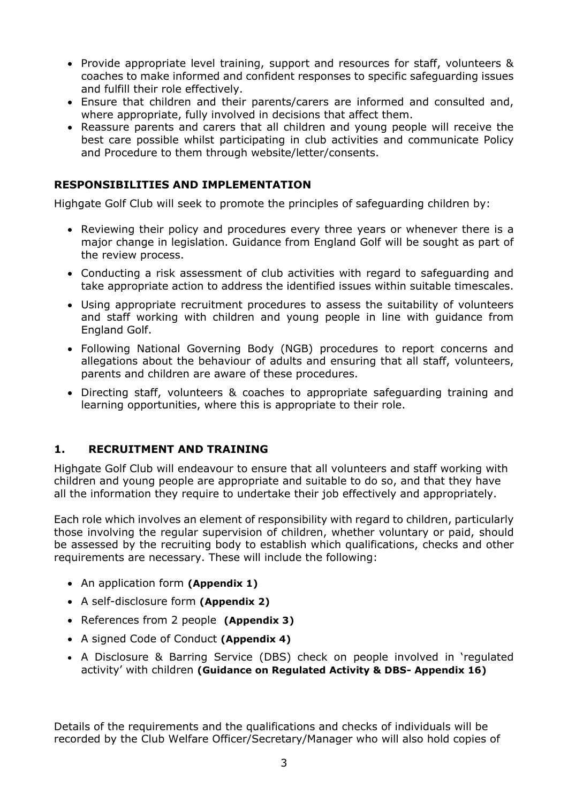- Provide appropriate level training, support and resources for staff, volunteers & coaches to make informed and confident responses to specific safeguarding issues and fulfill their role effectively.
- Ensure that children and their parents/carers are informed and consulted and, where appropriate, fully involved in decisions that affect them.
- Reassure parents and carers that all children and young people will receive the best care possible whilst participating in club activities and communicate Policy and Procedure to them through website/letter/consents.

#### **RESPONSIBILITIES AND IMPLEMENTATION**

Highgate Golf Club will seek to promote the principles of safeguarding children by:

- Reviewing their policy and procedures every three years or whenever there is a major change in legislation. Guidance from England Golf will be sought as part of the review process.
- Conducting a risk assessment of club activities with regard to safeguarding and take appropriate action to address the identified issues within suitable timescales.
- Using appropriate recruitment procedures to assess the suitability of volunteers and staff working with children and young people in line with guidance from England Golf.
- Following National Governing Body (NGB) procedures to report concerns and allegations about the behaviour of adults and ensuring that all staff, volunteers, parents and children are aware of these procedures.
- Directing staff, volunteers & coaches to appropriate safeguarding training and learning opportunities, where this is appropriate to their role.

#### **1. RECRUITMENT AND TRAINING**

Highgate Golf Club will endeavour to ensure that all volunteers and staff working with children and young people are appropriate and suitable to do so, and that they have all the information they require to undertake their job effectively and appropriately.

Each role which involves an element of responsibility with regard to children, particularly those involving the regular supervision of children, whether voluntary or paid, should be assessed by the recruiting body to establish which qualifications, checks and other requirements are necessary. These will include the following:

- An application form **(Appendix 1)**
- A self-disclosure form **(Appendix 2)**
- References from 2 people **(Appendix 3)**
- A signed Code of Conduct **(Appendix 4)**
- A Disclosure & Barring Service (DBS) check on people involved in 'regulated activity' with children **(Guidance on Regulated Activity & DBS- Appendix 16)**

Details of the requirements and the qualifications and checks of individuals will be recorded by the Club Welfare Officer/Secretary/Manager who will also hold copies of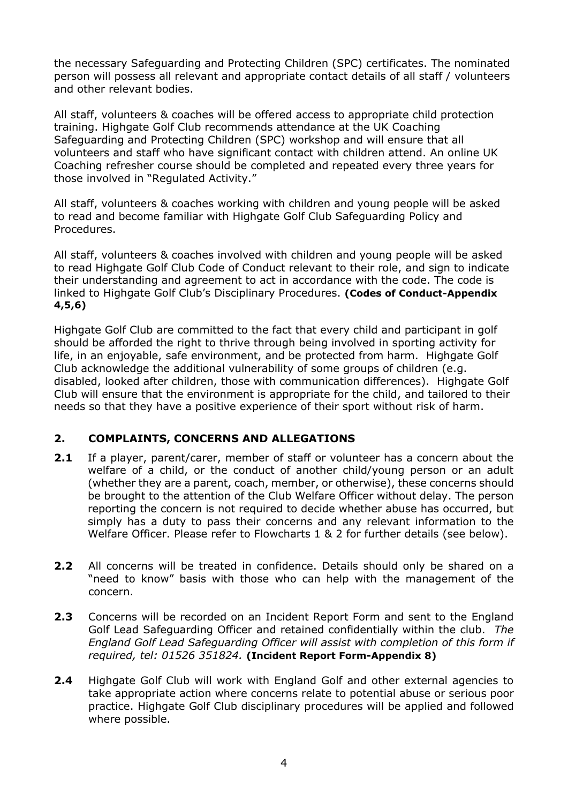the necessary Safeguarding and Protecting Children (SPC) certificates. The nominated person will possess all relevant and appropriate contact details of all staff / volunteers and other relevant bodies.

All staff, volunteers & coaches will be offered access to appropriate child protection training. Highgate Golf Club recommends attendance at the UK Coaching Safeguarding and Protecting Children (SPC) workshop and will ensure that all volunteers and staff who have significant contact with children attend. An online UK Coaching refresher course should be completed and repeated every three years for those involved in "Regulated Activity."

All staff, volunteers & coaches working with children and young people will be asked to read and become familiar with Highgate Golf Club Safeguarding Policy and Procedures.

All staff, volunteers & coaches involved with children and young people will be asked to read Highgate Golf Club Code of Conduct relevant to their role, and sign to indicate their understanding and agreement to act in accordance with the code. The code is linked to Highgate Golf Club's Disciplinary Procedures. **(Codes of Conduct-Appendix 4,5,6)**

Highgate Golf Club are committed to the fact that every child and participant in golf should be afforded the right to thrive through being involved in sporting activity for life, in an enjoyable, safe environment, and be protected from harm. Highgate Golf Club acknowledge the additional vulnerability of some groups of children (e.g. disabled, looked after children, those with communication differences). Highgate Golf Club will ensure that the environment is appropriate for the child, and tailored to their needs so that they have a positive experience of their sport without risk of harm.

#### **2. COMPLAINTS, CONCERNS AND ALLEGATIONS**

- **2.1** If a player, parent/carer, member of staff or volunteer has a concern about the welfare of a child, or the conduct of another child/young person or an adult (whether they are a parent, coach, member, or otherwise), these concerns should be brought to the attention of the Club Welfare Officer without delay. The person reporting the concern is not required to decide whether abuse has occurred, but simply has a duty to pass their concerns and any relevant information to the Welfare Officer. Please refer to Flowcharts 1 & 2 for further details (see below).
- **2.2** All concerns will be treated in confidence. Details should only be shared on a "need to know" basis with those who can help with the management of the concern.
- **2.3** Concerns will be recorded on an Incident Report Form and sent to the England Golf Lead Safeguarding Officer and retained confidentially within the club. *The England Golf Lead Safeguarding Officer will assist with completion of this form if required, tel: 01526 351824.* **(Incident Report Form-Appendix 8)**
- **2.4** Highgate Golf Club will work with England Golf and other external agencies to take appropriate action where concerns relate to potential abuse or serious poor practice. Highgate Golf Club disciplinary procedures will be applied and followed where possible.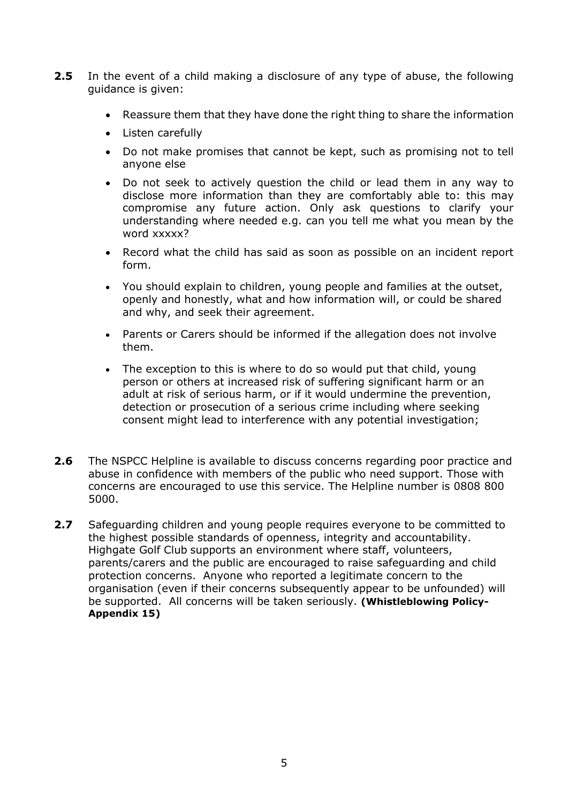- **2.5** In the event of a child making a disclosure of any type of abuse, the following guidance is given:
	- Reassure them that they have done the right thing to share the information
	- Listen carefully
	- Do not make promises that cannot be kept, such as promising not to tell anyone else
	- Do not seek to actively question the child or lead them in any way to disclose more information than they are comfortably able to: this may compromise any future action. Only ask questions to clarify your understanding where needed e.g. can you tell me what you mean by the word xxxxx?
	- Record what the child has said as soon as possible on an incident report form.
	- You should explain to children, young people and families at the outset, openly and honestly, what and how information will, or could be shared and why, and seek their agreement.
	- Parents or Carers should be informed if the allegation does not involve them.
	- The exception to this is where to do so would put that child, young person or others at increased risk of suffering [significant harm](http://trixresources.proceduresonline.com/nat_key/keywords/significant_harm.html) or an adult at risk of serious harm, or if it would undermine the prevention, detection or prosecution of a serious crime including where seeking consent might lead to interference with any potential investigation;
- **2.6** The NSPCC Helpline is available to discuss concerns regarding poor practice and abuse in confidence with members of the public who need support. Those with concerns are encouraged to use this service. The Helpline number is 0808 800 5000.
- **2.7** Safeguarding children and young people requires everyone to be committed to the highest possible standards of openness, integrity and accountability. Highgate Golf Club supports an environment where staff, volunteers, parents/carers and the public are encouraged to raise safeguarding and child protection concerns. Anyone who reported a legitimate concern to the organisation (even if their concerns subsequently appear to be unfounded) will be supported. All concerns will be taken seriously. **(Whistleblowing Policy-Appendix 15)**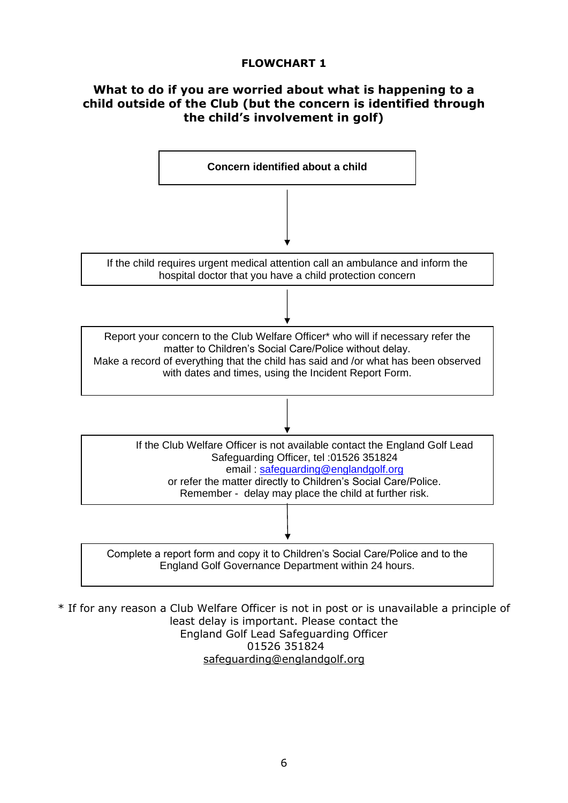#### **FLOWCHART 1**

#### **What to do if you are worried about what is happening to a child outside of the Club (but the concern is identified through the child's involvement in golf)**



\* If for any reason a Club Welfare Officer is not in post or is unavailable a principle of least delay is important. Please contact the England Golf Lead Safeguarding Officer 01526 351824 [safeguarding@englandgolf.org](mailto:safeguarding@englandgolf.org)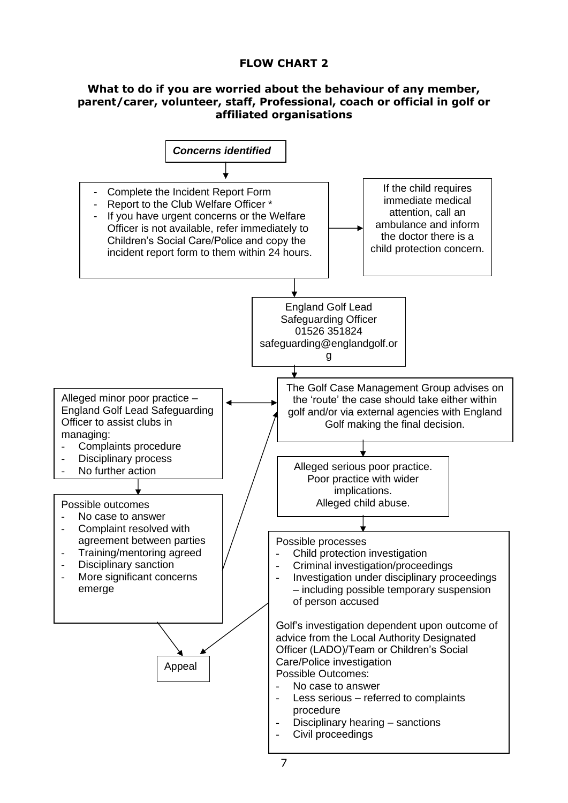#### **FLOW CHART 2**

#### **What to do if you are worried about the behaviour of any member, parent/carer, volunteer, staff, Professional, coach or official in golf or affiliated organisations**

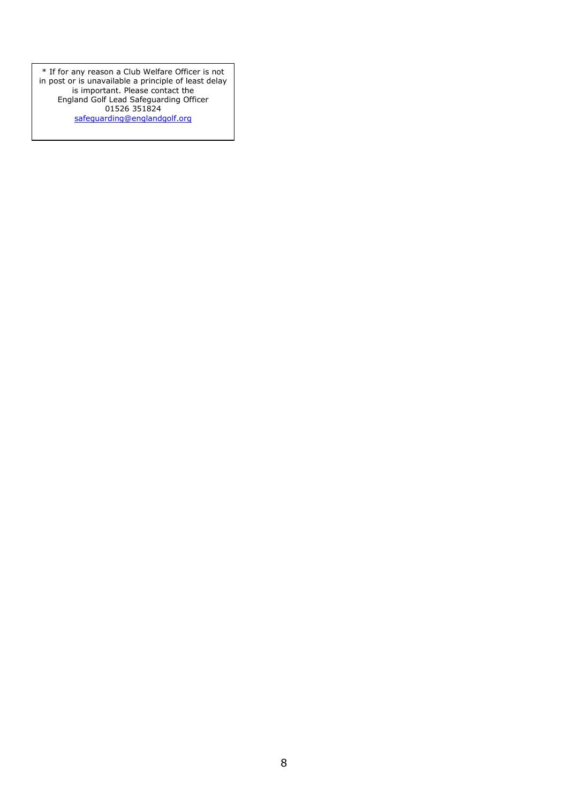\* If for any reason a Club Welfare Officer is not in post or is unavailable a principle of least delay is important. Please contact the England Golf Lead Safeguarding Officer 01526 351824 [safeguarding@englandgolf.org](mailto:safeguarding@englandgolf.org)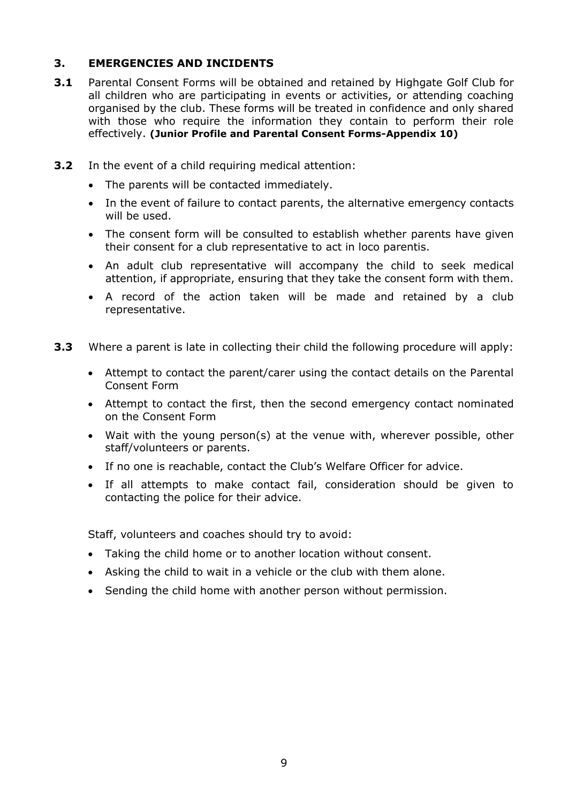#### **3. EMERGENCIES AND INCIDENTS**

- **3.1** Parental Consent Forms will be obtained and retained by Highgate Golf Club for all children who are participating in events or activities, or attending coaching organised by the club. These forms will be treated in confidence and only shared with those who require the information they contain to perform their role effectively. **(Junior Profile and Parental Consent Forms-Appendix 10)**
- **3.2** In the event of a child requiring medical attention:
	- The parents will be contacted immediately.
	- In the event of failure to contact parents, the alternative emergency contacts will be used.
	- The consent form will be consulted to establish whether parents have given their consent for a club representative to act in loco parentis.
	- An adult club representative will accompany the child to seek medical attention, if appropriate, ensuring that they take the consent form with them.
	- A record of the action taken will be made and retained by a club representative.
- **3.3** Where a parent is late in collecting their child the following procedure will apply:
	- Attempt to contact the parent/carer using the contact details on the Parental Consent Form
	- Attempt to contact the first, then the second emergency contact nominated on the Consent Form
	- Wait with the young person(s) at the venue with, wherever possible, other staff/volunteers or parents.
	- If no one is reachable, contact the Club's Welfare Officer for advice.
	- If all attempts to make contact fail, consideration should be given to contacting the police for their advice.

Staff, volunteers and coaches should try to avoid:

- Taking the child home or to another location without consent.
- Asking the child to wait in a vehicle or the club with them alone.
- Sending the child home with another person without permission.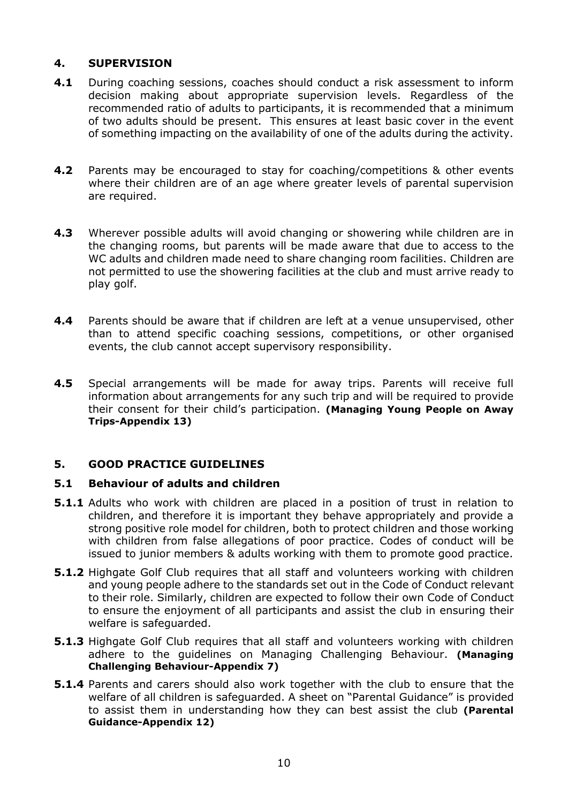#### **4. SUPERVISION**

- **4.1** During coaching sessions, coaches should conduct a risk assessment to inform decision making about appropriate supervision levels. Regardless of the recommended ratio of adults to participants, it is recommended that a minimum of two adults should be present. This ensures at least basic cover in the event of something impacting on the availability of one of the adults during the activity.
- **4.2** Parents may be encouraged to stay for coaching/competitions & other events where their children are of an age where greater levels of parental supervision are required.
- **4.3** Wherever possible adults will avoid changing or showering while children are in the changing rooms, but parents will be made aware that due to access to the WC adults and children made need to share changing room facilities. Children are not permitted to use the showering facilities at the club and must arrive ready to play golf.
- **4.4** Parents should be aware that if children are left at a venue unsupervised, other than to attend specific coaching sessions, competitions, or other organised events, the club cannot accept supervisory responsibility.
- **4.5** Special arrangements will be made for away trips. Parents will receive full information about arrangements for any such trip and will be required to provide their consent for their child's participation. **(Managing Young People on Away Trips-Appendix 13)**

#### **5. GOOD PRACTICE GUIDELINES**

#### **5.1 Behaviour of adults and children**

- **5.1.1** Adults who work with children are placed in a position of trust in relation to children, and therefore it is important they behave appropriately and provide a strong positive role model for children, both to protect children and those working with children from false allegations of poor practice. Codes of conduct will be issued to junior members & adults working with them to promote good practice.
- **5.1.2** Highgate Golf Club requires that all staff and volunteers working with children and young people adhere to the standards set out in the Code of Conduct relevant to their role. Similarly, children are expected to follow their own Code of Conduct to ensure the enjoyment of all participants and assist the club in ensuring their welfare is safeguarded.
- **5.1.3** Highgate Golf Club requires that all staff and volunteers working with children adhere to the guidelines on Managing Challenging Behaviour. **(Managing Challenging Behaviour-Appendix 7)**
- **5.1.4** Parents and carers should also work together with the club to ensure that the welfare of all children is safeguarded. A sheet on "Parental Guidance" is provided to assist them in understanding how they can best assist the club **(Parental Guidance-Appendix 12)**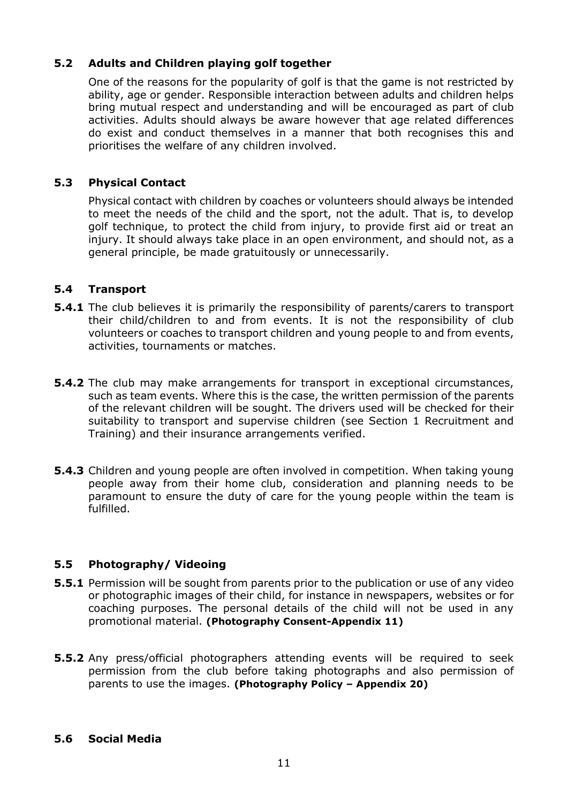#### **5.2 Adults and Children playing golf together**

One of the reasons for the popularity of golf is that the game is not restricted by ability, age or gender. Responsible interaction between adults and children helps bring mutual respect and understanding and will be encouraged as part of club activities. Adults should always be aware however that age related differences do exist and conduct themselves in a manner that both recognises this and prioritises the welfare of any children involved.

#### **5.3 Physical Contact**

Physical contact with children by coaches or volunteers should always be intended to meet the needs of the child and the sport, not the adult. That is, to develop golf technique, to protect the child from injury, to provide first aid or treat an injury. It should always take place in an open environment, and should not, as a general principle, be made gratuitously or unnecessarily.

#### **5.4 Transport**

- **5.4.1** The club believes it is primarily the responsibility of parents/carers to transport their child/children to and from events. It is not the responsibility of club volunteers or coaches to transport children and young people to and from events, activities, tournaments or matches.
- **5.4.2** The club may make arrangements for transport in exceptional circumstances, such as team events. Where this is the case, the written permission of the parents of the relevant children will be sought. The drivers used will be checked for their suitability to transport and supervise children (see Section 1 Recruitment and Training) and their insurance arrangements verified.
- **5.4.3** Children and young people are often involved in competition. When taking young people away from their home club, consideration and planning needs to be paramount to ensure the duty of care for the young people within the team is fulfilled.

#### **5.5 Photography/ Videoing**

- **5.5.1** Permission will be sought from parents prior to the publication or use of any video or photographic images of their child, for instance in newspapers, websites or for coaching purposes. The personal details of the child will not be used in any promotional material. **(Photography Consent-Appendix 11)**
- **5.5.2** Any press/official photographers attending events will be required to seek permission from the club before taking photographs and also permission of parents to use the images. **(Photography Policy – Appendix 20)**

#### **5.6 Social Media**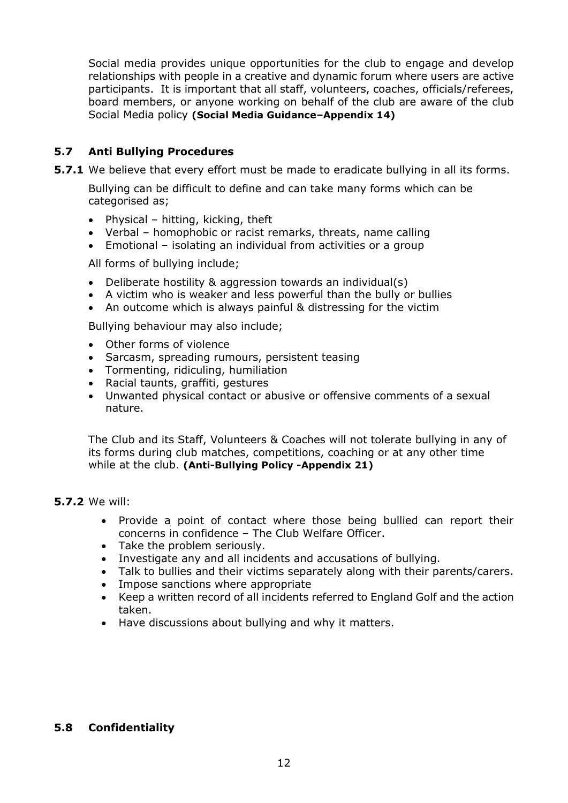Social media provides unique opportunities for the club to engage and develop relationships with people in a creative and dynamic forum where users are active participants. It is important that all staff, volunteers, coaches, officials/referees, board members, or anyone working on behalf of the club are aware of the club Social Media policy **(Social Media Guidance–Appendix 14)**

#### **5.7 Anti Bullying Procedures**

**5.7.1** We believe that every effort must be made to eradicate bullying in all its forms.

Bullying can be difficult to define and can take many forms which can be categorised as;

- Physical hitting, kicking, theft
- Verbal homophobic or racist remarks, threats, name calling
- Emotional isolating an individual from activities or a group

All forms of bullying include;

- Deliberate hostility & aggression towards an individual(s)
- A victim who is weaker and less powerful than the bully or bullies
- An outcome which is always painful & distressing for the victim

Bullying behaviour may also include;

- Other forms of violence
- Sarcasm, spreading rumours, persistent teasing
- Tormenting, ridiculing, humiliation
- Racial taunts, graffiti, gestures
- Unwanted physical contact or abusive or offensive comments of a sexual nature.

The Club and its Staff, Volunteers & Coaches will not tolerate bullying in any of its forms during club matches, competitions, coaching or at any other time while at the club. **(Anti-Bullying Policy -Appendix 21)**

#### **5.7.2** We will:

- Provide a point of contact where those being bullied can report their concerns in confidence – The Club Welfare Officer.
- Take the problem seriously.
- Investigate any and all incidents and accusations of bullying.
- Talk to bullies and their victims separately along with their parents/carers.
- Impose sanctions where appropriate
- Keep a written record of all incidents referred to England Golf and the action taken.
- Have discussions about bullying and why it matters.

#### **5.8 Confidentiality**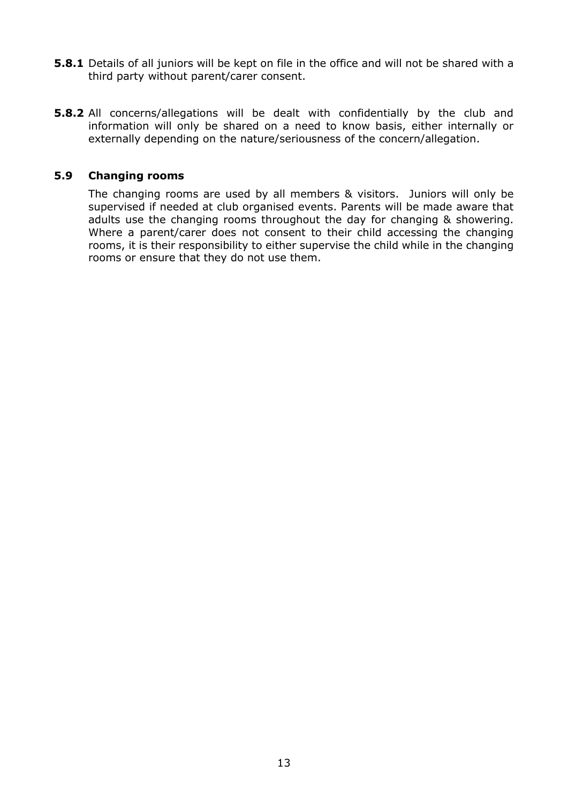- **5.8.1** Details of all juniors will be kept on file in the office and will not be shared with a third party without parent/carer consent.
- **5.8.2** All concerns/allegations will be dealt with confidentially by the club and information will only be shared on a need to know basis, either internally or externally depending on the nature/seriousness of the concern/allegation.

#### **5.9 Changing rooms**

The changing rooms are used by all members & visitors. Juniors will only be supervised if needed at club organised events. Parents will be made aware that adults use the changing rooms throughout the day for changing & showering. Where a parent/carer does not consent to their child accessing the changing rooms, it is their responsibility to either supervise the child while in the changing rooms or ensure that they do not use them.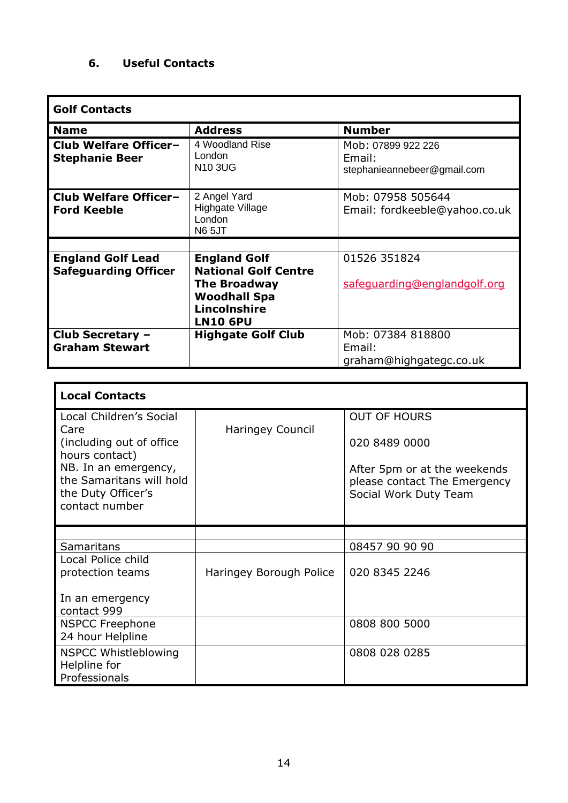#### **6. Useful Contacts**

 $\blacksquare$ 

| <b>Golf Contacts</b>                                    |                                                                               |                                                             |
|---------------------------------------------------------|-------------------------------------------------------------------------------|-------------------------------------------------------------|
| <b>Name</b>                                             | <b>Address</b>                                                                | <b>Number</b>                                               |
| <b>Club Welfare Officer-</b><br><b>Stephanie Beer</b>   | 4 Woodland Rise<br>London<br><b>N10 3UG</b>                                   | Mob: 07899 922 226<br>Email:<br>stephanieannebeer@gmail.com |
| <b>Club Welfare Officer-</b><br><b>Ford Keeble</b>      | 2 Angel Yard<br>Highgate Village<br>London<br><b>N65JT</b>                    | Mob: 07958 505644<br>Email: fordkeeble@yahoo.co.uk          |
|                                                         |                                                                               |                                                             |
| <b>England Golf Lead</b><br><b>Safeguarding Officer</b> | <b>England Golf</b><br><b>National Golf Centre</b>                            | 01526 351824                                                |
|                                                         | <b>The Broadway</b><br><b>Woodhall Spa</b><br>Lincolnshire<br><b>LN10 6PU</b> | safequarding@englandgolf.org                                |
| Club Secretary -<br><b>Graham Stewart</b>               | <b>Highgate Golf Club</b>                                                     | Mob: 07384 818800<br>Email:<br>graham@highgategc.co.uk      |

| <b>Local Contacts</b>                                                                                                                                                      |                         |                                                                                                                               |
|----------------------------------------------------------------------------------------------------------------------------------------------------------------------------|-------------------------|-------------------------------------------------------------------------------------------------------------------------------|
| Local Children's Social<br>Care<br>(including out of office)<br>hours contact)<br>NB. In an emergency,<br>the Samaritans will hold<br>the Duty Officer's<br>contact number | Haringey Council        | <b>OUT OF HOURS</b><br>020 8489 0000<br>After 5pm or at the weekends<br>please contact The Emergency<br>Social Work Duty Team |
|                                                                                                                                                                            |                         |                                                                                                                               |
| Samaritans                                                                                                                                                                 |                         | 08457 90 90 90                                                                                                                |
| Local Police child<br>protection teams                                                                                                                                     | Haringey Borough Police | 020 8345 2246                                                                                                                 |
| In an emergency<br>contact 999                                                                                                                                             |                         |                                                                                                                               |
| <b>NSPCC Freephone</b><br>24 hour Helpline                                                                                                                                 |                         | 0808 800 5000                                                                                                                 |
| <b>NSPCC Whistleblowing</b><br>Helpline for<br>Professionals                                                                                                               |                         | 0808 028 0285                                                                                                                 |

l,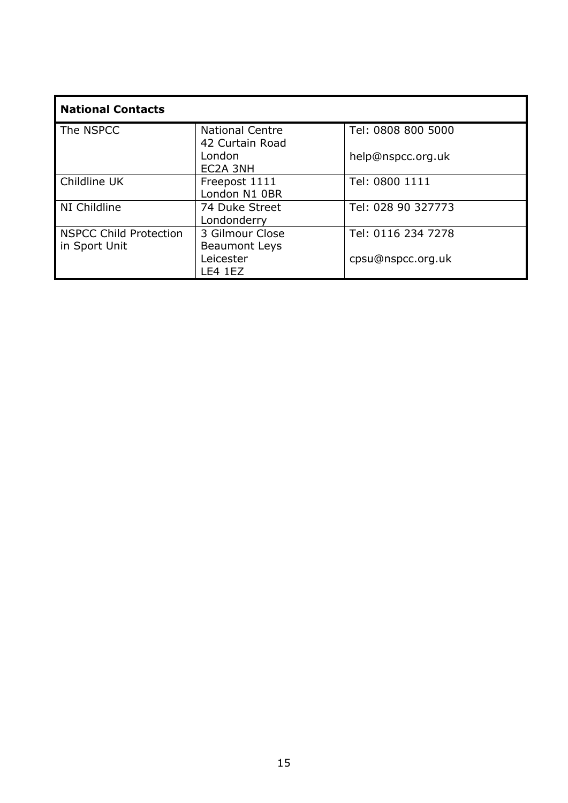| <b>National Contacts</b>                       |                                           |                    |
|------------------------------------------------|-------------------------------------------|--------------------|
| The NSPCC                                      | <b>National Centre</b><br>42 Curtain Road | Tel: 0808 800 5000 |
|                                                | London<br>EC2A 3NH                        | help@nspcc.org.uk  |
| Childline UK                                   | Freepost 1111<br>London N1 0BR            | Tel: 0800 1111     |
| NI Childline                                   | 74 Duke Street<br>Londonderry             | Tel: 028 90 327773 |
| <b>NSPCC Child Protection</b><br>in Sport Unit | 3 Gilmour Close<br><b>Beaumont Leys</b>   | Tel: 0116 234 7278 |
|                                                | Leicester<br><b>LE4 1EZ</b>               | cpsu@nspcc.org.uk  |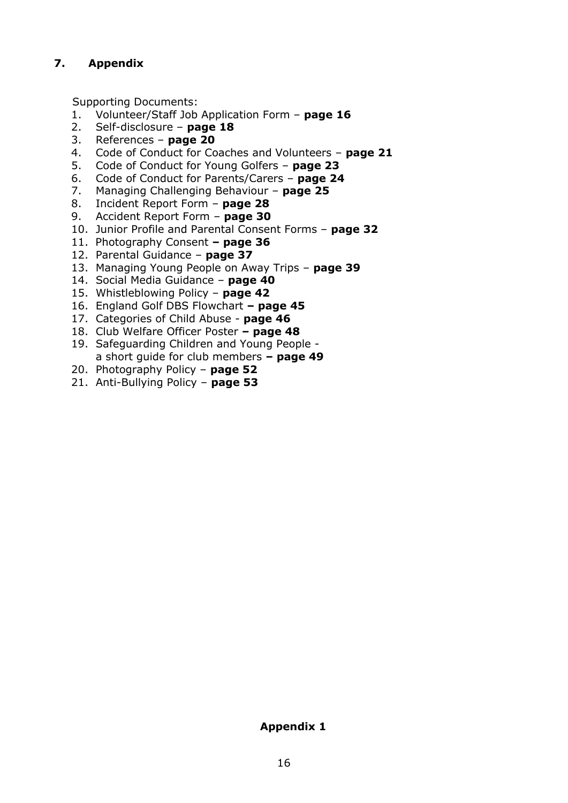#### **7. Appendix**

Supporting Documents:

- 1. Volunteer/Staff Job Application Form **page 16**
- 2. Self-disclosure **page 18**
- 3. References **page 20**
- 4. Code of Conduct for Coaches and Volunteers **page 21**
- 5. Code of Conduct for Young Golfers **page 23**
- 6. Code of Conduct for Parents/Carers **page 24**
- 7. Managing Challenging Behaviour **page 25**
- 8. Incident Report Form **page 28**
- 9. Accident Report Form **page 30**
- 10. Junior Profile and Parental Consent Forms **page 32**
- 11. Photography Consent **– page 36**
- 12. Parental Guidance **page 37**
- 13. Managing Young People on Away Trips **page 39**
- 14. Social Media Guidance **page 40**
- 15. Whistleblowing Policy **page 42**
- 16. England Golf DBS Flowchart **– page 45**
- 17. Categories of Child Abuse **page 46**
- 18. Club Welfare Officer Poster **– page 48**
- 19. Safeguarding Children and Young People a short guide for club members **– page 49**
- 20. Photography Policy **page 52**
- 21. Anti-Bullying Policy **page 53**

#### **Appendix 1**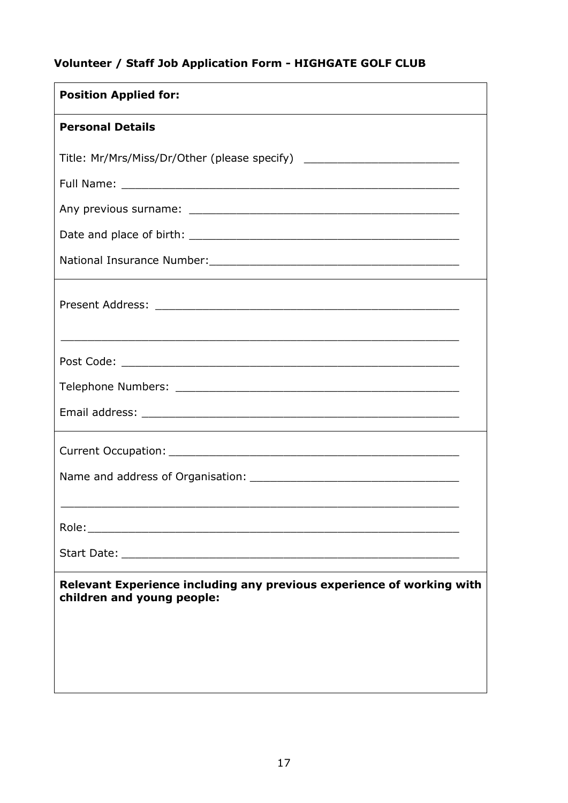#### **Volunteer / Staff Job Application Form - HIGHGATE GOLF CLUB**

| <b>Position Applied for:</b>                                                                        |  |
|-----------------------------------------------------------------------------------------------------|--|
| <b>Personal Details</b>                                                                             |  |
| Title: Mr/Mrs/Miss/Dr/Other (please specify) ___________________________________                    |  |
|                                                                                                     |  |
|                                                                                                     |  |
|                                                                                                     |  |
|                                                                                                     |  |
|                                                                                                     |  |
|                                                                                                     |  |
|                                                                                                     |  |
|                                                                                                     |  |
|                                                                                                     |  |
|                                                                                                     |  |
|                                                                                                     |  |
|                                                                                                     |  |
| Relevant Experience including any previous experience of working with<br>children and young people: |  |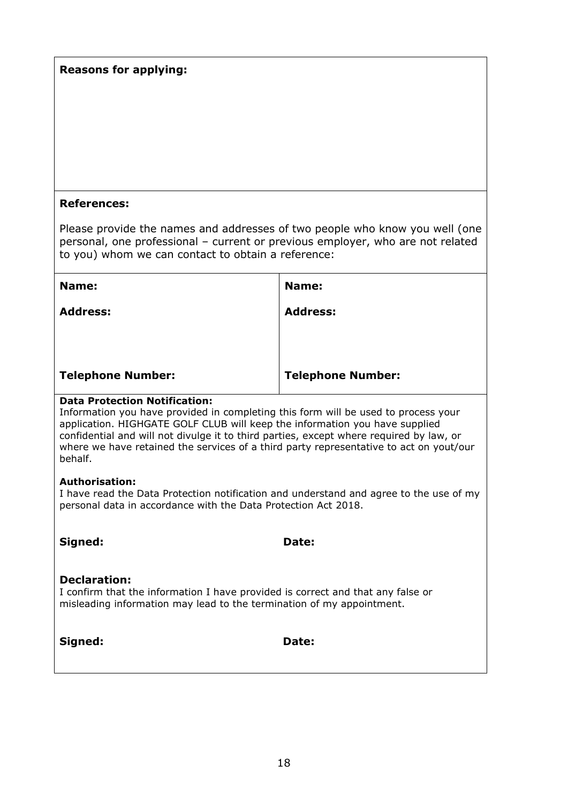#### **References:**

Please provide the names and addresses of two people who know you well (one personal, one professional – current or previous employer, who are not related to you) whom we can contact to obtain a reference:

| Name:                    | Name:                    |
|--------------------------|--------------------------|
| <b>Address:</b>          | <b>Address:</b>          |
|                          |                          |
|                          |                          |
| <b>Telephone Number:</b> | <b>Telephone Number:</b> |

#### **Data Protection Notification:**

Information you have provided in completing this form will be used to process your application. HIGHGATE GOLF CLUB will keep the information you have supplied confidential and will not divulge it to third parties, except where required by law, or where we have retained the services of a third party representative to act on yout/our behalf.

#### **Authorisation:**

I have read the Data Protection notification and understand and agree to the use of my personal data in accordance with the Data Protection Act 2018.

**Signed: Date:** 

#### **Declaration:**

I confirm that the information I have provided is correct and that any false or misleading information may lead to the termination of my appointment.

**Signed: Date:**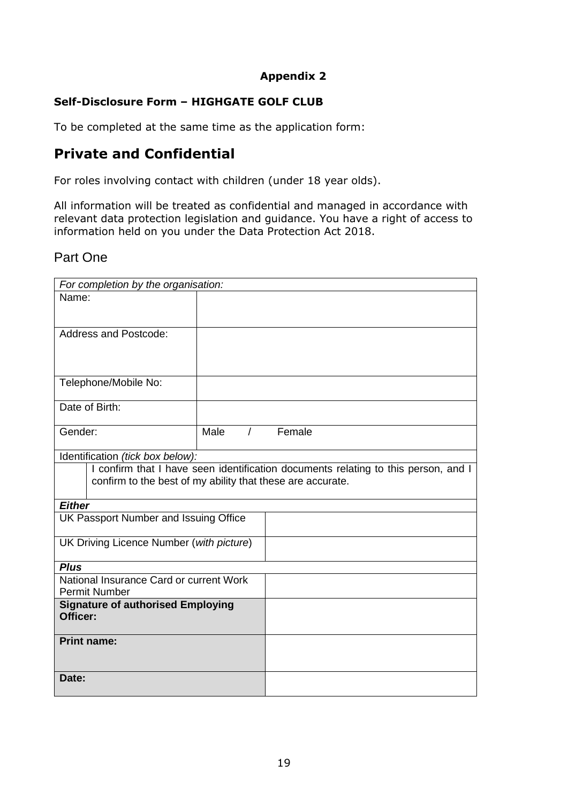#### **Self-Disclosure Form – HIGHGATE GOLF CLUB**

To be completed at the same time as the application form:

#### **Private and Confidential**

For roles involving contact with children (under 18 year olds).

All information will be treated as confidential and managed in accordance with relevant data protection legislation and guidance. You have a right of access to information held on you under the Data Protection Act 2018.

#### Part One

| For completion by the organisation:                        |      |                |                                                                                    |
|------------------------------------------------------------|------|----------------|------------------------------------------------------------------------------------|
| Name:                                                      |      |                |                                                                                    |
|                                                            |      |                |                                                                                    |
|                                                            |      |                |                                                                                    |
| <b>Address and Postcode:</b>                               |      |                |                                                                                    |
|                                                            |      |                |                                                                                    |
|                                                            |      |                |                                                                                    |
| Telephone/Mobile No:                                       |      |                |                                                                                    |
|                                                            |      |                |                                                                                    |
| Date of Birth:                                             |      |                |                                                                                    |
|                                                            |      |                |                                                                                    |
| Gender:                                                    | Male | $\overline{1}$ | Female                                                                             |
|                                                            |      |                |                                                                                    |
| Identification (tick box below):                           |      |                |                                                                                    |
|                                                            |      |                | I confirm that I have seen identification documents relating to this person, and I |
| confirm to the best of my ability that these are accurate. |      |                |                                                                                    |
|                                                            |      |                |                                                                                    |
| <b>Either</b>                                              |      |                |                                                                                    |
| UK Passport Number and Issuing Office                      |      |                |                                                                                    |
|                                                            |      |                |                                                                                    |
| UK Driving Licence Number (with picture)                   |      |                |                                                                                    |
| <b>Plus</b>                                                |      |                |                                                                                    |
| National Insurance Card or current Work                    |      |                |                                                                                    |
| <b>Permit Number</b>                                       |      |                |                                                                                    |
| <b>Signature of authorised Employing</b>                   |      |                |                                                                                    |
| Officer:                                                   |      |                |                                                                                    |
|                                                            |      |                |                                                                                    |
| <b>Print name:</b>                                         |      |                |                                                                                    |
|                                                            |      |                |                                                                                    |
|                                                            |      |                |                                                                                    |
| Date:                                                      |      |                |                                                                                    |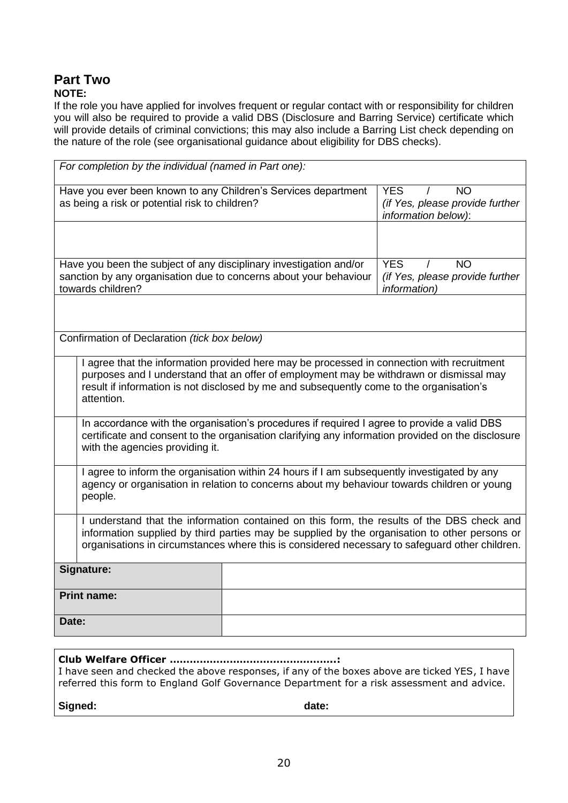#### **Part Two NOTE:**

If the role you have applied for involves frequent or regular contact with or responsibility for children you will also be required to provide a valid DBS (Disclosure and Barring Service) certificate which will provide details of criminal convictions; this may also include a Barring List check depending on the nature of the role (see organisational guidance about eligibility for DBS checks).

| For completion by the individual (named in Part one):                                                                                                                                                                                                                                           |                                                                                    |  |
|-------------------------------------------------------------------------------------------------------------------------------------------------------------------------------------------------------------------------------------------------------------------------------------------------|------------------------------------------------------------------------------------|--|
| <b>YES</b><br>Have you ever been known to any Children's Services department<br><b>NO</b><br>as being a risk or potential risk to children?<br>(if Yes, please provide further<br>information below):                                                                                           |                                                                                    |  |
|                                                                                                                                                                                                                                                                                                 |                                                                                    |  |
| Have you been the subject of any disciplinary investigation and/or<br>sanction by any organisation due to concerns about your behaviour<br>towards children?                                                                                                                                    | <b>YES</b><br><b>NO</b><br>(if Yes, please provide further<br><i>information</i> ) |  |
|                                                                                                                                                                                                                                                                                                 |                                                                                    |  |
| Confirmation of Declaration (tick box below)                                                                                                                                                                                                                                                    |                                                                                    |  |
| I agree that the information provided here may be processed in connection with recruitment<br>purposes and I understand that an offer of employment may be withdrawn or dismissal may<br>result if information is not disclosed by me and subsequently come to the organisation's<br>attention. |                                                                                    |  |
| In accordance with the organisation's procedures if required I agree to provide a valid DBS<br>certificate and consent to the organisation clarifying any information provided on the disclosure<br>with the agencies providing it.                                                             |                                                                                    |  |
| I agree to inform the organisation within 24 hours if I am subsequently investigated by any<br>agency or organisation in relation to concerns about my behaviour towards children or young<br>people.                                                                                           |                                                                                    |  |
| I understand that the information contained on this form, the results of the DBS check and<br>information supplied by third parties may be supplied by the organisation to other persons or<br>organisations in circumstances where this is considered necessary to safeguard other children.   |                                                                                    |  |
| Signature:                                                                                                                                                                                                                                                                                      |                                                                                    |  |
| <b>Print name:</b>                                                                                                                                                                                                                                                                              |                                                                                    |  |
| Date:                                                                                                                                                                                                                                                                                           |                                                                                    |  |

| I have seen and checked the above responses, if any of the boxes above are ticked YES, I have |
|-----------------------------------------------------------------------------------------------|
| referred this form to England Golf Governance Department for a risk assessment and advice.    |
|                                                                                               |

Signed: **and Signed: date: date: date: date:**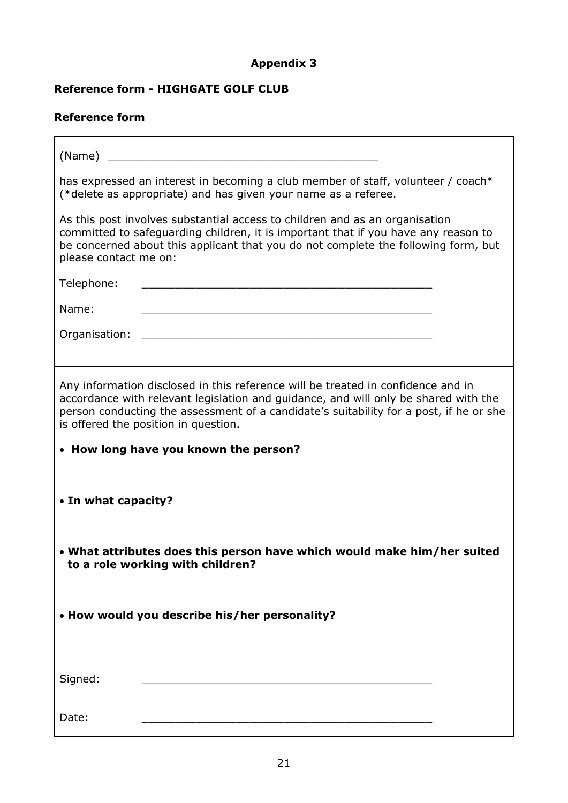F

#### **Reference form - HIGHGATE GOLF CLUB**

#### **Reference form**

 $\mathbf{r}$ 

| (Name)                                                                                                                                                                                                                                                                                                    |
|-----------------------------------------------------------------------------------------------------------------------------------------------------------------------------------------------------------------------------------------------------------------------------------------------------------|
| has expressed an interest in becoming a club member of staff, volunteer / coach*<br>(*delete as appropriate) and has given your name as a referee.                                                                                                                                                        |
| As this post involves substantial access to children and as an organisation<br>committed to safeguarding children, it is important that if you have any reason to<br>be concerned about this applicant that you do not complete the following form, but<br>please contact me on:                          |
| Telephone:<br><u> 1980 - Johann John Stone, markin fan it fjort fan it fjort fan it fjort fan it fjort fan it fjort fan it fjort</u>                                                                                                                                                                      |
| Name:<br><u> 2001 - Jan James James James James James James James James James James James James James James James James J</u>                                                                                                                                                                             |
| Organisation:<br><u> 1980 - Johann Stein, marwolaethau a bhann an t-Amhair ann an t-Amhair an t-Amhair an t-Amhair an t-Amhair an</u>                                                                                                                                                                     |
|                                                                                                                                                                                                                                                                                                           |
| Any information disclosed in this reference will be treated in confidence and in<br>accordance with relevant legislation and guidance, and will only be shared with the<br>person conducting the assessment of a candidate's suitability for a post, if he or she<br>is offered the position in question. |
| • How long have you known the person?                                                                                                                                                                                                                                                                     |
| • In what capacity?                                                                                                                                                                                                                                                                                       |
| • What attributes does this person have which would make him/her suited<br>to a role working with children?                                                                                                                                                                                               |
| • How would you describe his/her personality?                                                                                                                                                                                                                                                             |
| Signed:                                                                                                                                                                                                                                                                                                   |
| Date:                                                                                                                                                                                                                                                                                                     |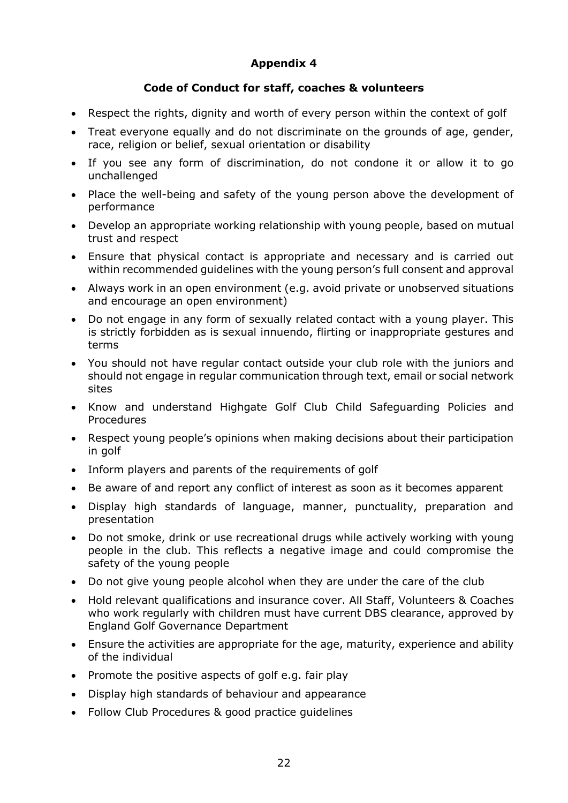#### **Code of Conduct for staff, coaches & volunteers**

- Respect the rights, dignity and worth of every person within the context of golf
- Treat everyone equally and do not discriminate on the grounds of age, gender, race, religion or belief, sexual orientation or disability
- If you see any form of discrimination, do not condone it or allow it to go unchallenged
- Place the well-being and safety of the young person above the development of performance
- Develop an appropriate working relationship with young people, based on mutual trust and respect
- Ensure that physical contact is appropriate and necessary and is carried out within recommended guidelines with the young person's full consent and approval
- Always work in an open environment (e.g. avoid private or unobserved situations and encourage an open environment)
- Do not engage in any form of sexually related contact with a young player. This is strictly forbidden as is sexual innuendo, flirting or inappropriate gestures and terms
- You should not have regular contact outside your club role with the juniors and should not engage in regular communication through text, email or social network sites
- Know and understand Highgate Golf Club Child Safeguarding Policies and Procedures
- Respect young people's opinions when making decisions about their participation in golf
- Inform players and parents of the requirements of golf
- Be aware of and report any conflict of interest as soon as it becomes apparent
- Display high standards of language, manner, punctuality, preparation and presentation
- Do not smoke, drink or use recreational drugs while actively working with young people in the club. This reflects a negative image and could compromise the safety of the young people
- Do not give young people alcohol when they are under the care of the club
- Hold relevant qualifications and insurance cover. All Staff, Volunteers & Coaches who work regularly with children must have current DBS clearance, approved by England Golf Governance Department
- Ensure the activities are appropriate for the age, maturity, experience and ability of the individual
- Promote the positive aspects of golf e.g. fair play
- Display high standards of behaviour and appearance
- Follow Club Procedures & good practice guidelines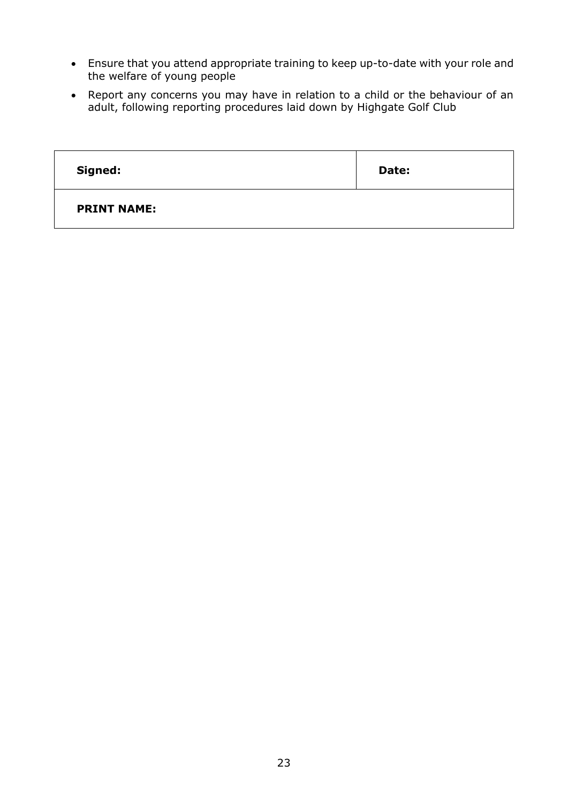- Ensure that you attend appropriate training to keep up-to-date with your role and the welfare of young people
- Report any concerns you may have in relation to a child or the behaviour of an adult, following reporting procedures laid down by Highgate Golf Club

| Signed:            | Date: |
|--------------------|-------|
| <b>PRINT NAME:</b> |       |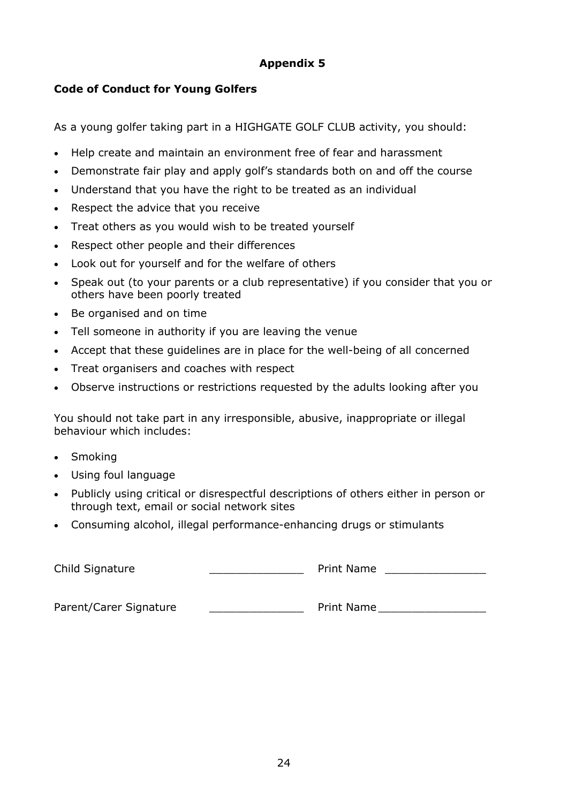#### **Code of Conduct for Young Golfers**

As a young golfer taking part in a HIGHGATE GOLF CLUB activity, you should:

- Help create and maintain an environment free of fear and harassment
- Demonstrate fair play and apply golf's standards both on and off the course
- Understand that you have the right to be treated as an individual
- Respect the advice that you receive
- Treat others as you would wish to be treated yourself
- Respect other people and their differences
- Look out for yourself and for the welfare of others
- Speak out (to your parents or a club representative) if you consider that you or others have been poorly treated
- Be organised and on time
- Tell someone in authority if you are leaving the venue
- Accept that these guidelines are in place for the well-being of all concerned
- Treat organisers and coaches with respect
- Observe instructions or restrictions requested by the adults looking after you

You should not take part in any irresponsible, abusive, inappropriate or illegal behaviour which includes:

- Smoking
- Using foul language
- Publicly using critical or disrespectful descriptions of others either in person or through text, email or social network sites
- Consuming alcohol, illegal performance-enhancing drugs or stimulants

Child Signature \_\_\_\_\_\_\_\_\_\_\_\_\_\_ Print Name \_\_\_\_\_\_\_\_\_\_\_\_\_\_\_

Parent/Carer Signature extending the Print Name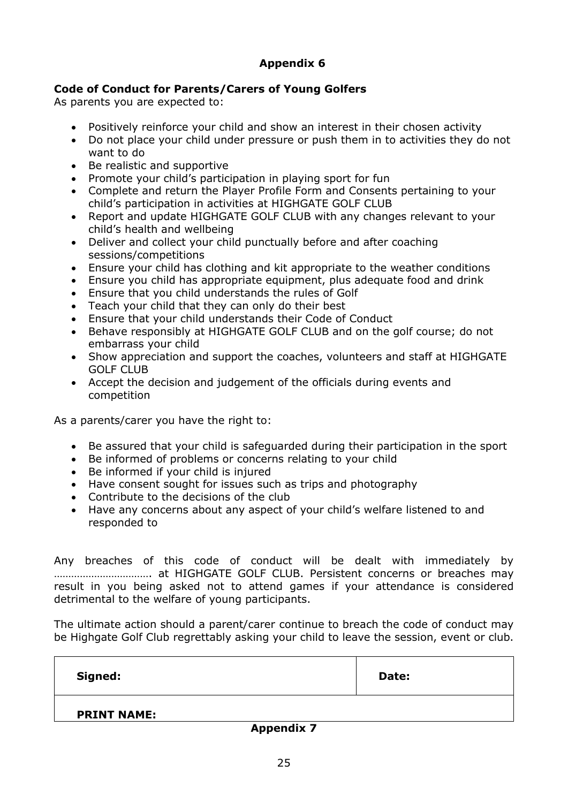#### **Code of Conduct for Parents/Carers of Young Golfers**

As parents you are expected to:

- Positively reinforce your child and show an interest in their chosen activity
- Do not place your child under pressure or push them in to activities they do not want to do
- Be realistic and supportive
- Promote your child's participation in playing sport for fun
- Complete and return the Player Profile Form and Consents pertaining to your child's participation in activities at HIGHGATE GOLF CLUB
- Report and update HIGHGATE GOLF CLUB with any changes relevant to your child's health and wellbeing
- Deliver and collect your child punctually before and after coaching sessions/competitions
- Ensure your child has clothing and kit appropriate to the weather conditions
- Ensure you child has appropriate equipment, plus adequate food and drink
- Ensure that you child understands the rules of Golf
- Teach your child that they can only do their best
- Ensure that your child understands their Code of Conduct
- Behave responsibly at HIGHGATE GOLF CLUB and on the golf course; do not embarrass your child
- Show appreciation and support the coaches, volunteers and staff at HIGHGATE GOLF CLUB
- Accept the decision and judgement of the officials during events and competition

As a parents/carer you have the right to:

- Be assured that your child is safeguarded during their participation in the sport
- Be informed of problems or concerns relating to your child
- Be informed if your child is injured
- Have consent sought for issues such as trips and photography
- Contribute to the decisions of the club
- Have any concerns about any aspect of your child's welfare listened to and responded to

Any breaches of this code of conduct will be dealt with immediately by ……………………………. at HIGHGATE GOLF CLUB. Persistent concerns or breaches may result in you being asked not to attend games if your attendance is considered detrimental to the welfare of young participants.

The ultimate action should a parent/carer continue to breach the code of conduct may be Highgate Golf Club regrettably asking your child to leave the session, event or club.

| Signed:            | Date: |
|--------------------|-------|
| <b>PRINT NAME:</b> |       |

**Appendix 7**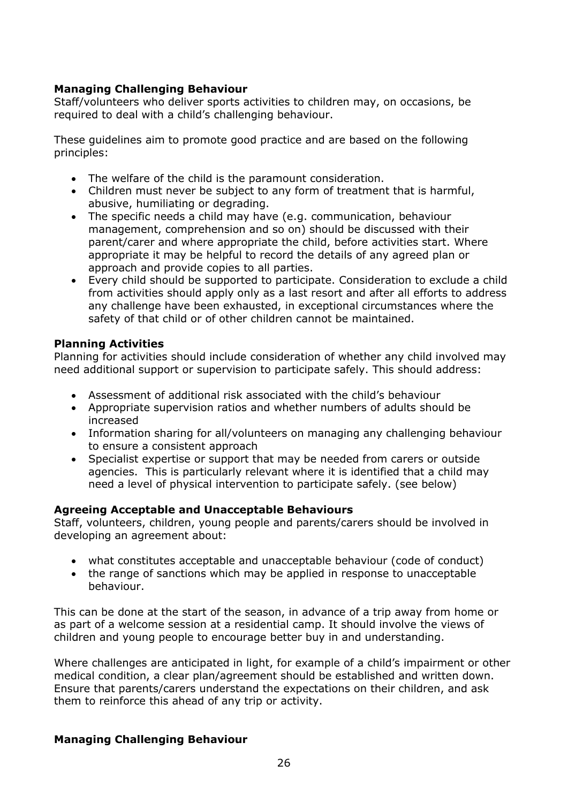#### **Managing Challenging Behaviour**

Staff/volunteers who deliver sports activities to children may, on occasions, be required to deal with a child's challenging behaviour.

These guidelines aim to promote good practice and are based on the following principles:

- The welfare of the child is the paramount consideration.
- Children must never be subject to any form of treatment that is harmful, abusive, humiliating or degrading.
- The specific needs a child may have (e.g. communication, behaviour management, comprehension and so on) should be discussed with their parent/carer and where appropriate the child, before activities start. Where appropriate it may be helpful to record the details of any agreed plan or approach and provide copies to all parties.
- Every child should be supported to participate. Consideration to exclude a child from activities should apply only as a last resort and after all efforts to address any challenge have been exhausted, in exceptional circumstances where the safety of that child or of other children cannot be maintained.

#### **Planning Activities**

Planning for activities should include consideration of whether any child involved may need additional support or supervision to participate safely. This should address:

- Assessment of additional risk associated with the child's behaviour
- Appropriate supervision ratios and whether numbers of adults should be increased
- Information sharing for all/volunteers on managing any challenging behaviour to ensure a consistent approach
- Specialist expertise or support that may be needed from carers or outside agencies. This is particularly relevant where it is identified that a child may need a level of physical intervention to participate safely. (see below)

#### **Agreeing Acceptable and Unacceptable Behaviours**

Staff, volunteers, children, young people and parents/carers should be involved in developing an agreement about:

- what constitutes acceptable and unacceptable behaviour (code of conduct)
- the range of sanctions which may be applied in response to unacceptable behaviour.

This can be done at the start of the season, in advance of a trip away from home or as part of a welcome session at a residential camp. It should involve the views of children and young people to encourage better buy in and understanding.

Where challenges are anticipated in light, for example of a child's impairment or other medical condition, a clear plan/agreement should be established and written down. Ensure that parents/carers understand the expectations on their children, and ask them to reinforce this ahead of any trip or activity.

#### **Managing Challenging Behaviour**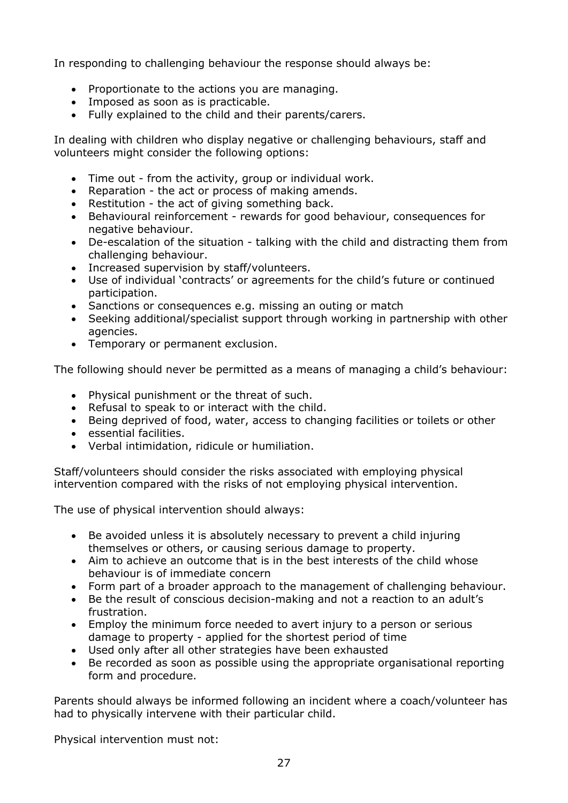In responding to challenging behaviour the response should always be:

- Proportionate to the actions you are managing.
- Imposed as soon as is practicable.
- Fully explained to the child and their parents/carers.

In dealing with children who display negative or challenging behaviours, staff and volunteers might consider the following options:

- Time out from the activity, group or individual work.
- Reparation the act or process of making amends.
- Restitution the act of giving something back.
- Behavioural reinforcement rewards for good behaviour, consequences for negative behaviour.
- De-escalation of the situation talking with the child and distracting them from challenging behaviour.
- Increased supervision by staff/volunteers.
- Use of individual 'contracts' or agreements for the child's future or continued participation.
- Sanctions or consequences e.g. missing an outing or match
- Seeking additional/specialist support through working in partnership with other agencies.
- Temporary or permanent exclusion.

The following should never be permitted as a means of managing a child's behaviour:

- Physical punishment or the threat of such.
- Refusal to speak to or interact with the child.
- Being deprived of food, water, access to changing facilities or toilets or other
- essential facilities.
- Verbal intimidation, ridicule or humiliation.

Staff/volunteers should consider the risks associated with employing physical intervention compared with the risks of not employing physical intervention.

The use of physical intervention should always:

- Be avoided unless it is absolutely necessary to prevent a child injuring themselves or others, or causing serious damage to property.
- Aim to achieve an outcome that is in the best interests of the child whose behaviour is of immediate concern
- Form part of a broader approach to the management of challenging behaviour.
- Be the result of conscious decision-making and not a reaction to an adult's frustration.
- Employ the minimum force needed to avert injury to a person or serious damage to property - applied for the shortest period of time
- Used only after all other strategies have been exhausted
- Be recorded as soon as possible using the appropriate organisational reporting form and procedure.

Parents should always be informed following an incident where a coach/volunteer has had to physically intervene with their particular child.

Physical intervention must not: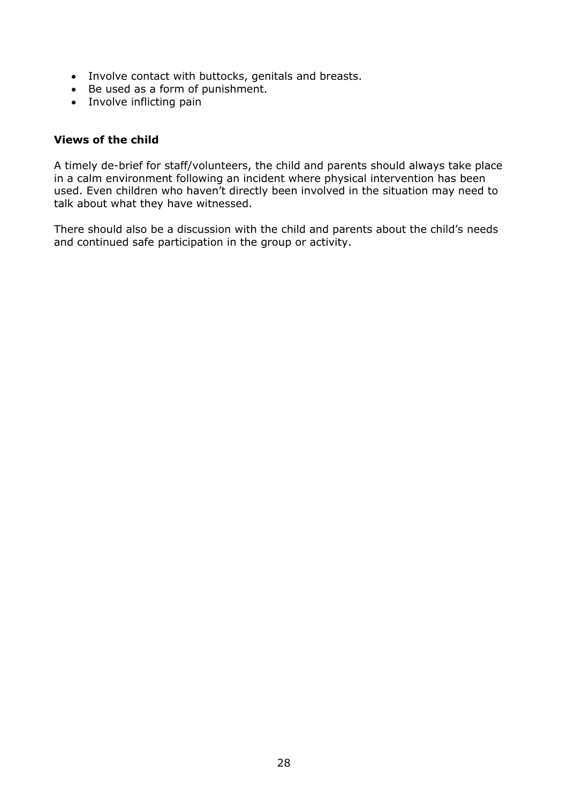- Involve contact with buttocks, genitals and breasts.
- Be used as a form of punishment.
- Involve inflicting pain

#### **Views of the child**

A timely de-brief for staff/volunteers, the child and parents should always take place in a calm environment following an incident where physical intervention has been used. Even children who haven't directly been involved in the situation may need to talk about what they have witnessed.

There should also be a discussion with the child and parents about the child's needs and continued safe participation in the group or activity.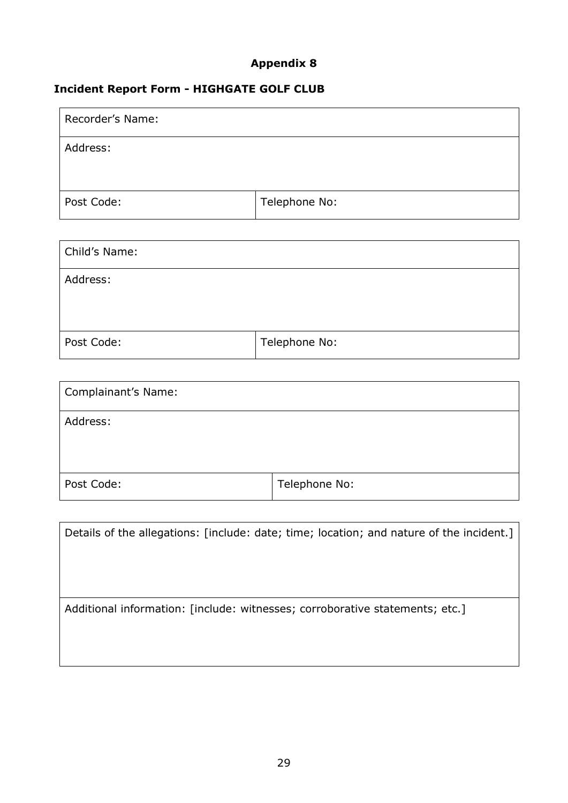#### **Incident Report Form - HIGHGATE GOLF CLUB**

| Recorder's Name: |               |
|------------------|---------------|
| Address:         |               |
|                  |               |
| Post Code:       | Telephone No: |

| Child's Name: |               |
|---------------|---------------|
| Address:      |               |
| Post Code:    | Telephone No: |

| Complainant's Name: |               |
|---------------------|---------------|
| Address:            |               |
| Post Code:          | Telephone No: |

| Details of the allegations: [include: date; time; location; and nature of the incident.] |
|------------------------------------------------------------------------------------------|
|                                                                                          |
|                                                                                          |
|                                                                                          |
| Additional information: [include: witnesses; corroborative statements; etc.]             |
|                                                                                          |
|                                                                                          |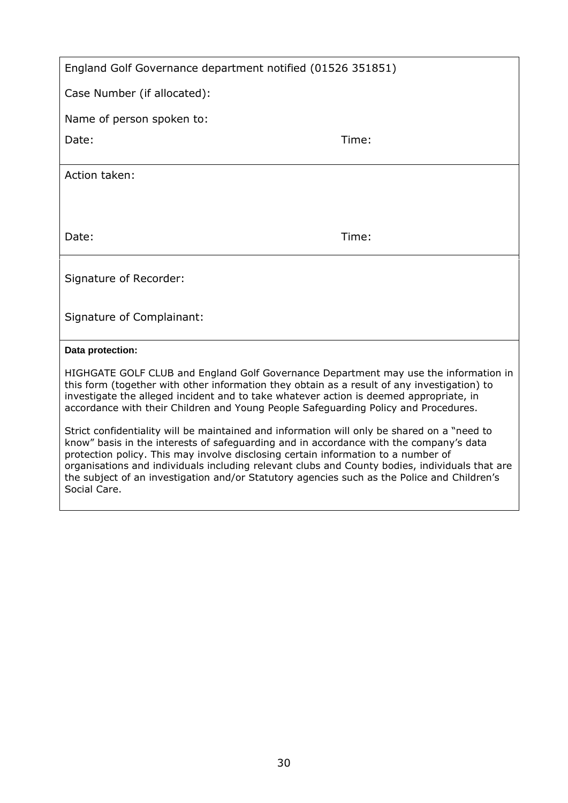| England Golf Governance department notified (01526 351851)                                                                                                                                                                                                                                                                                                                   |       |
|------------------------------------------------------------------------------------------------------------------------------------------------------------------------------------------------------------------------------------------------------------------------------------------------------------------------------------------------------------------------------|-------|
| Case Number (if allocated):                                                                                                                                                                                                                                                                                                                                                  |       |
| Name of person spoken to:                                                                                                                                                                                                                                                                                                                                                    |       |
| Date:                                                                                                                                                                                                                                                                                                                                                                        | Time: |
| Action taken:                                                                                                                                                                                                                                                                                                                                                                |       |
| Date:                                                                                                                                                                                                                                                                                                                                                                        | Time: |
| Signature of Recorder:                                                                                                                                                                                                                                                                                                                                                       |       |
| Signature of Complainant:                                                                                                                                                                                                                                                                                                                                                    |       |
| Data protection:                                                                                                                                                                                                                                                                                                                                                             |       |
| HIGHGATE GOLF CLUB and England Golf Governance Department may use the information in<br>this form (together with other information they obtain as a result of any investigation) to<br>investigate the alleged incident and to take whatever action is deemed appropriate, in<br>accordance with their Children and Young People Safeguarding Policy and Procedures.         |       |
| Strict confidentiality will be maintained and information will only be shared on a "need to<br>know" basis in the interests of safeguarding and in accordance with the company's data<br>protection policy. This may involve disclosing certain information to a number of<br>organisations and individuals including relevant clubs and County bodies, individuals that are |       |

the subject of an investigation and/or Statutory agencies such as the Police and Children's

Social Care.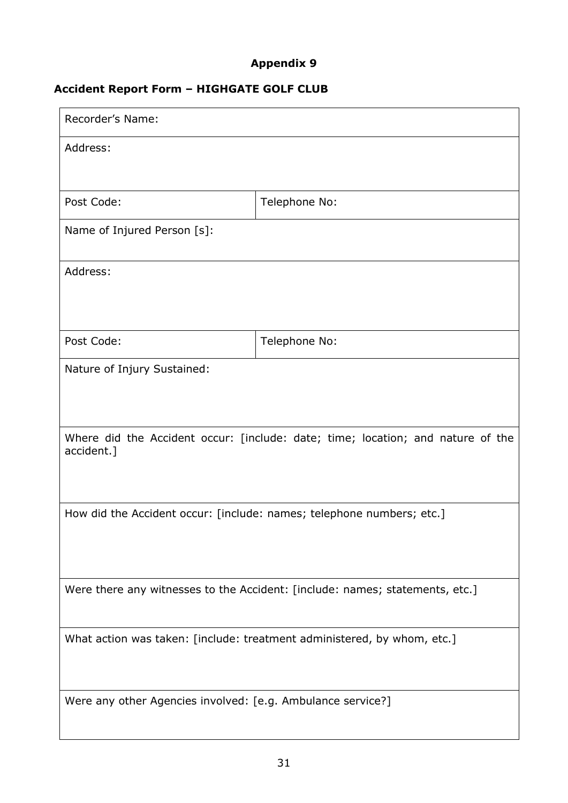#### **Accident Report Form – HIGHGATE GOLF CLUB**

| Recorder's Name:                                                                              |               |  |
|-----------------------------------------------------------------------------------------------|---------------|--|
| Address:                                                                                      |               |  |
| Post Code:                                                                                    | Telephone No: |  |
| Name of Injured Person [s]:                                                                   |               |  |
| Address:                                                                                      |               |  |
| Post Code:                                                                                    | Telephone No: |  |
| Nature of Injury Sustained:                                                                   |               |  |
| Where did the Accident occur: [include: date; time; location; and nature of the<br>accident.] |               |  |
| How did the Accident occur: [include: names; telephone numbers; etc.]                         |               |  |
| Were there any witnesses to the Accident: [include: names; statements, etc.]                  |               |  |
| What action was taken: [include: treatment administered, by whom, etc.]                       |               |  |
| Were any other Agencies involved: [e.g. Ambulance service?]                                   |               |  |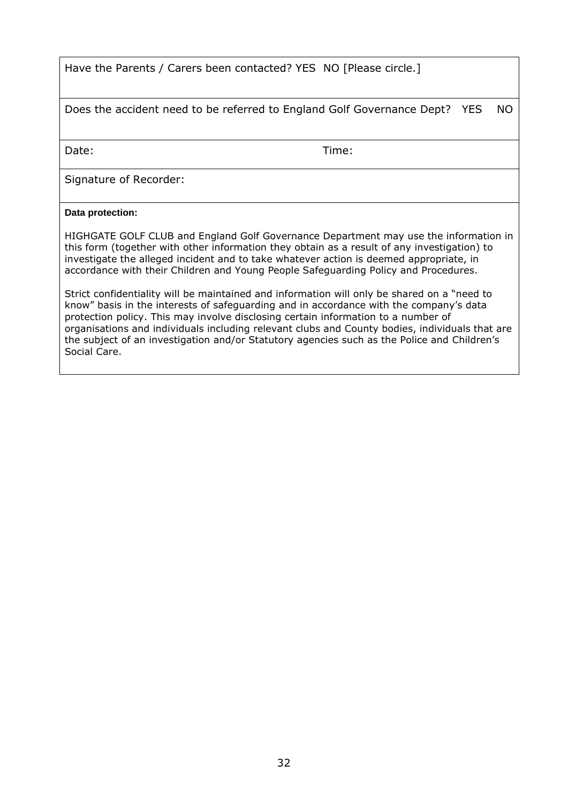Have the Parents / Carers been contacted? YES NO [Please circle.]

Does the accident need to be referred to England Golf Governance Dept? YES NO

Date: Time:

Signature of Recorder:

#### **Data protection:**

HIGHGATE GOLF CLUB and England Golf Governance Department may use the information in this form (together with other information they obtain as a result of any investigation) to investigate the alleged incident and to take whatever action is deemed appropriate, in accordance with their Children and Young People Safeguarding Policy and Procedures.

Strict confidentiality will be maintained and information will only be shared on a "need to know" basis in the interests of safeguarding and in accordance with the company's data protection policy. This may involve disclosing certain information to a number of organisations and individuals including relevant clubs and County bodies, individuals that are the subject of an investigation and/or Statutory agencies such as the Police and Children's Social Care.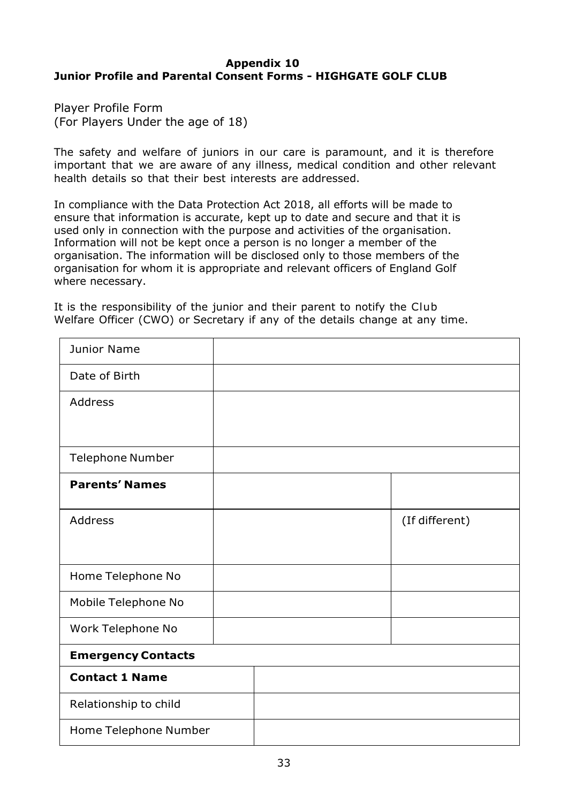#### **Appendix 10 Junior Profile and Parental Consent Forms - HIGHGATE GOLF CLUB**

Player Profile Form (For Players Under the age of 18)

The safety and welfare of juniors in our care is paramount, and it is therefore important that we are aware of any illness, medical condition and other relevant health details so that their best interests are addressed.

In compliance with the Data Protection Act 2018, all efforts will be made to ensure that information is accurate, kept up to date and secure and that it is used only in connection with the purpose and activities of the organisation. Information will not be kept once a person is no longer a member of the organisation. The information will be disclosed only to those members of the organisation for whom it is appropriate and relevant officers of England Golf where necessary.

It is the responsibility of the junior and their parent to notify the Club Welfare Officer (CWO) or Secretary if any of the details change at any time.

| <b>Junior Name</b>        |  |                |
|---------------------------|--|----------------|
| Date of Birth             |  |                |
| <b>Address</b>            |  |                |
|                           |  |                |
| <b>Telephone Number</b>   |  |                |
| <b>Parents' Names</b>     |  |                |
| <b>Address</b>            |  | (If different) |
|                           |  |                |
| Home Telephone No         |  |                |
| Mobile Telephone No       |  |                |
| Work Telephone No         |  |                |
| <b>Emergency Contacts</b> |  |                |
| <b>Contact 1 Name</b>     |  |                |
| Relationship to child     |  |                |
| Home Telephone Number     |  |                |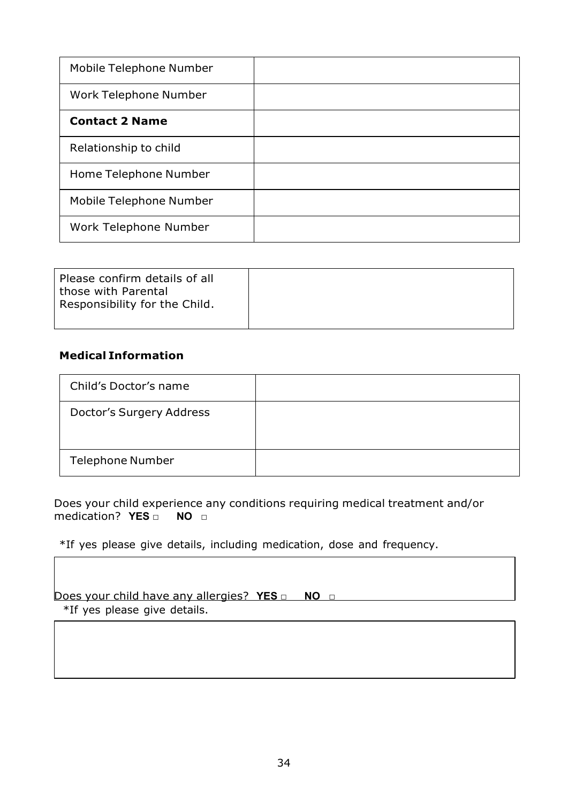| Mobile Telephone Number |  |
|-------------------------|--|
| Work Telephone Number   |  |
| <b>Contact 2 Name</b>   |  |
| Relationship to child   |  |
| Home Telephone Number   |  |
| Mobile Telephone Number |  |
| Work Telephone Number   |  |

| Please confirm details of all<br>those with Parental<br>Responsibility for the Child. |  |
|---------------------------------------------------------------------------------------|--|
|                                                                                       |  |

#### **Medical Information**

| Child's Doctor's name    |  |
|--------------------------|--|
| Doctor's Surgery Address |  |
| <b>Telephone Number</b>  |  |

Does your child experience any conditions requiring medical treatment and/or medication? **YES □ NO □**

\*If yes please give details, including medication, dose and frequency.

Does your child have any allergies? YES □ NO □ \*If yes please give details.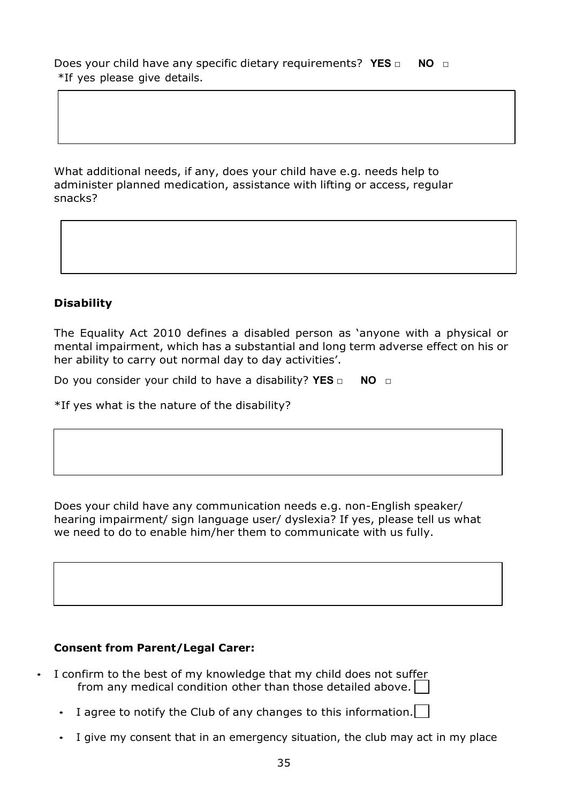Does your child have any specific dietary requirements? **YES □ NO □** \*If yes please give details.

What additional needs, if any, does your child have e.g. needs help to administer planned medication, assistance with lifting or access, regular snacks?

#### **Disability**

The Equality Act 2010 defines a disabled person as 'anyone with a physical or mental impairment, which has a substantial and long term adverse effect on his or her ability to carry out normal day to day activities'.

Do you consider your child to have a disability? **YES □ NO □**

\*If yes what is the nature of the disability?

Does your child have any communication needs e.g. non-English speaker/ hearing impairment/ sign language user/ dyslexia? If yes, please tell us what we need to do to enable him/her them to communicate with us fully.

#### **Consent from Parent/Legal Carer:**

- I confirm to the best of my knowledge that my child does not suffer from any medical condition other than those detailed above.
	- I agree to notify the Club of any changes to this information.
	- I give my consent that in an emergency situation, the club may act in my place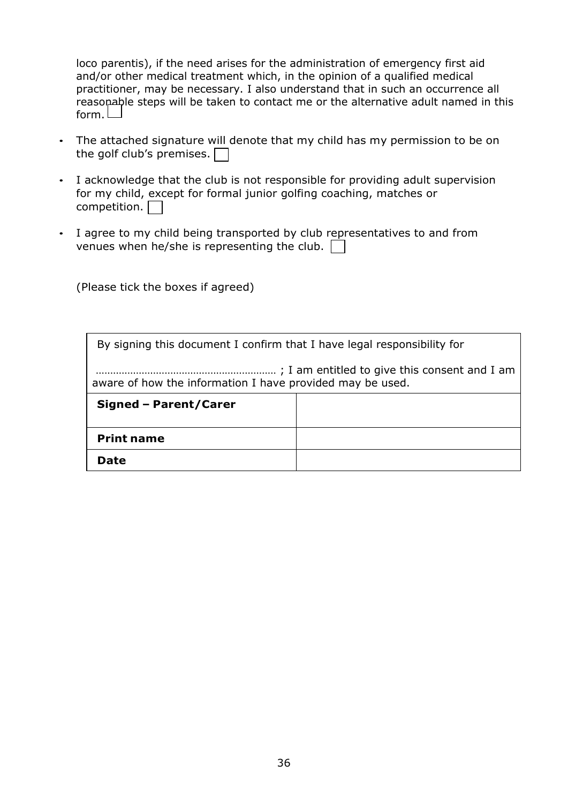loco parentis), if the need arises for the administration of emergency first aid and/or other medical treatment which, in the opinion of a qualified medical practitioner, may be necessary. I also understand that in such an occurrence all reasopable steps will be taken to contact me or the alternative adult named in this form.  $\Box$ 

- The attached signature will denote that my child has my permission to be on the golf club's premises.  $\Box$
- I acknowledge that the club is not responsible for providing adult supervision for my child, except for formal junior golfing coaching, matches or competition.  $\Box$
- I agree to my child being transported by club representatives to and from venues when he/she is representing the club.

(Please tick the boxes if agreed)

| By signing this document I confirm that I have legal responsibility for |  |  |
|-------------------------------------------------------------------------|--|--|
| aware of how the information I have provided may be used.               |  |  |
| Signed - Parent/Carer                                                   |  |  |
| <b>Print name</b>                                                       |  |  |
| Date                                                                    |  |  |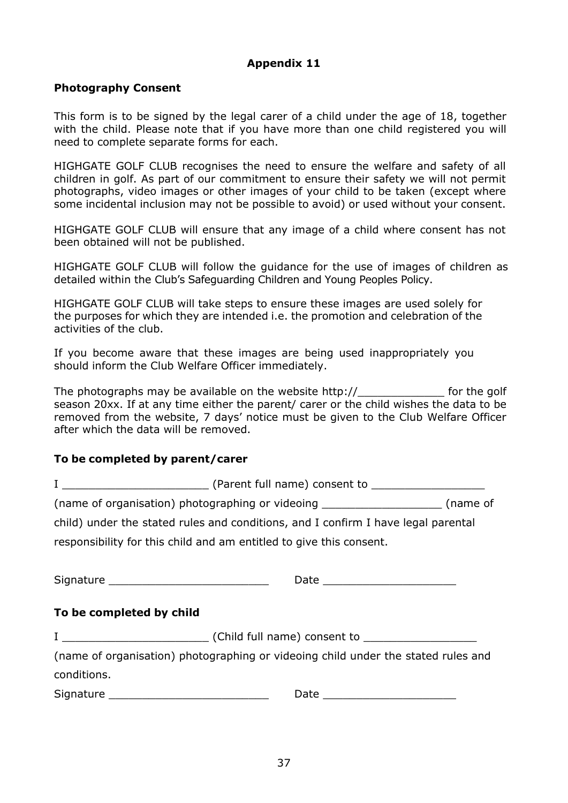#### **Photography Consent**

This form is to be signed by the legal carer of a child under the age of 18, together with the child. Please note that if you have more than one child registered you will need to complete separate forms for each.

HIGHGATE GOLF CLUB recognises the need to ensure the welfare and safety of all children in golf. As part of our commitment to ensure their safety we will not permit photographs, video images or other images of your child to be taken (except where some incidental inclusion may not be possible to avoid) or used without your consent.

HIGHGATE GOLF CLUB will ensure that any image of a child where consent has not been obtained will not be published.

HIGHGATE GOLF CLUB will follow the guidance for the use of images of children as detailed within the Club's Safeguarding Children and Young Peoples Policy.

HIGHGATE GOLF CLUB will take steps to ensure these images are used solely for the purposes for which they are intended i.e. the promotion and celebration of the activities of the club.

If you become aware that these images are being used inappropriately you should inform the Club Welfare Officer immediately.

The photographs may be available on the website  $h$ ttp:// $\qquad$  for the golf season 20xx. If at any time either the parent/ carer or the child wishes the data to be removed from the website, 7 days' notice must be given to the Club Welfare Officer after which the data will be removed.

#### **To be completed by parent/carer**

|                                            | (name of organisation) photographing or videoing ________________________(name of |  |
|--------------------------------------------|-----------------------------------------------------------------------------------|--|
|                                            | child) under the stated rules and conditions, and I confirm I have legal parental |  |
|                                            | responsibility for this child and am entitled to give this consent.               |  |
|                                            |                                                                                   |  |
| Signature ________________________________ |                                                                                   |  |
|                                            |                                                                                   |  |
|                                            |                                                                                   |  |
| To be completed by child                   |                                                                                   |  |
|                                            |                                                                                   |  |
|                                            | (name of organisation) photographing or videoing child under the stated rules and |  |
| conditions.                                |                                                                                   |  |
|                                            |                                                                                   |  |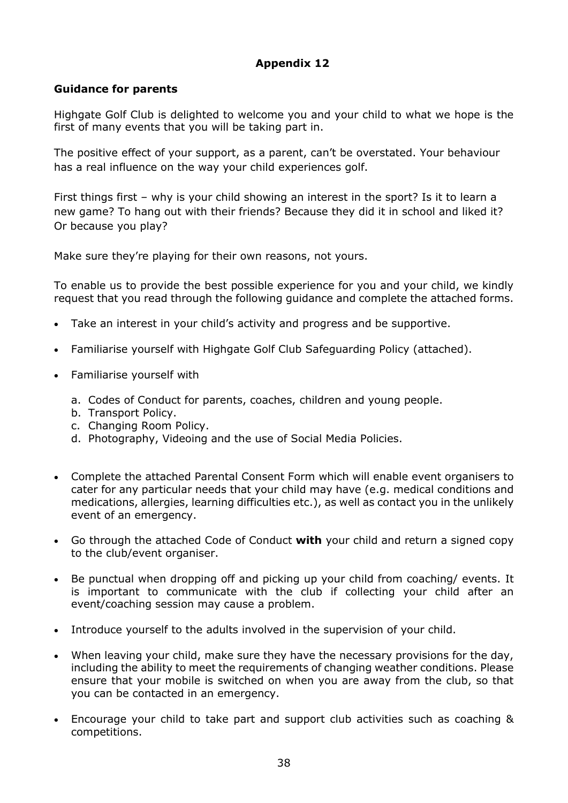#### **Guidance for parents**

Highgate Golf Club is delighted to welcome you and your child to what we hope is the first of many events that you will be taking part in.

The positive effect of your support, as a parent, can't be overstated. Your behaviour has a real influence on the way your child experiences golf.

First things first – why is your child showing an interest in the sport? Is it to learn a new game? To hang out with their friends? Because they did it in school and liked it? Or because you play?

Make sure they're playing for their own reasons, not yours.

To enable us to provide the best possible experience for you and your child, we kindly request that you read through the following guidance and complete the attached forms.

- Take an interest in your child's activity and progress and be supportive.
- Familiarise yourself with Highgate Golf Club Safeguarding Policy (attached).
- Familiarise yourself with
	- a. Codes of Conduct for parents, coaches, children and young people.
	- b. Transport Policy.
	- c. Changing Room Policy.
	- d. Photography, Videoing and the use of Social Media Policies.
- Complete the attached Parental Consent Form which will enable event organisers to cater for any particular needs that your child may have (e.g. medical conditions and medications, allergies, learning difficulties etc.), as well as contact you in the unlikely event of an emergency.
- Go through the attached Code of Conduct **with** your child and return a signed copy to the club/event organiser.
- Be punctual when dropping off and picking up your child from coaching/ events. It is important to communicate with the club if collecting your child after an event/coaching session may cause a problem.
- Introduce yourself to the adults involved in the supervision of your child.
- When leaving your child, make sure they have the necessary provisions for the day, including the ability to meet the requirements of changing weather conditions. Please ensure that your mobile is switched on when you are away from the club, so that you can be contacted in an emergency.
- Encourage your child to take part and support club activities such as coaching & competitions.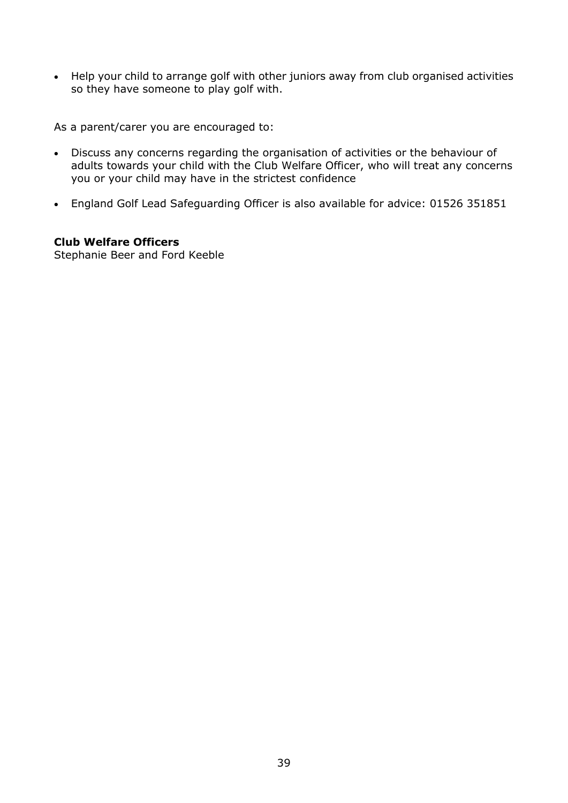• Help your child to arrange golf with other juniors away from club organised activities so they have someone to play golf with.

As a parent/carer you are encouraged to:

- Discuss any concerns regarding the organisation of activities or the behaviour of adults towards your child with the Club Welfare Officer, who will treat any concerns you or your child may have in the strictest confidence
- England Golf Lead Safeguarding Officer is also available for advice: 01526 351851

#### **Club Welfare Officers**

Stephanie Beer and Ford Keeble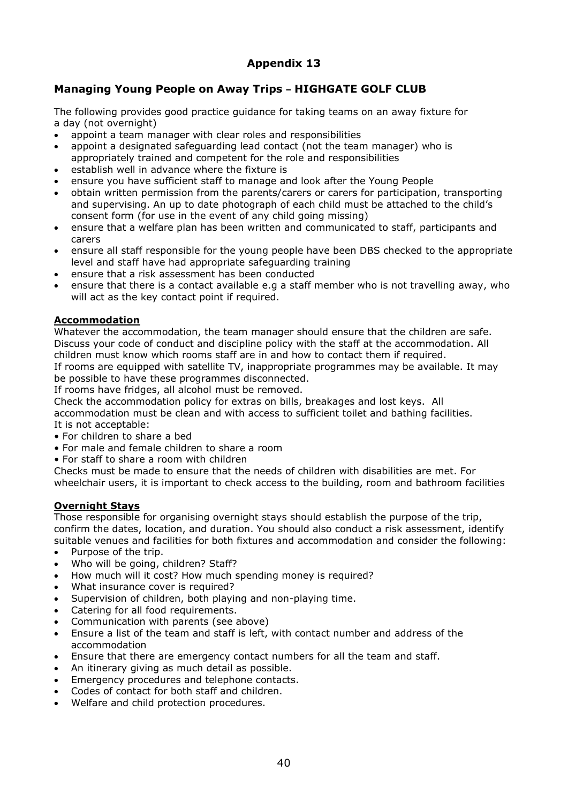#### **Managing Young People on Away Trips – HIGHGATE GOLF CLUB**

The following provides good practice guidance for taking teams on an away fixture for a day (not overnight)

- appoint a team manager with clear roles and responsibilities
- appoint a designated safeguarding lead contact (not the team manager) who is appropriately trained and competent for the role and responsibilities
- establish well in advance where the fixture is
- ensure you have sufficient staff to manage and look after the Young People
- obtain written permission from the parents/carers or carers for participation, transporting and supervising. An up to date photograph of each child must be attached to the child's consent form (for use in the event of any child going missing)
- ensure that a welfare plan has been written and communicated to staff, participants and carers
- ensure all staff responsible for the young people have been DBS checked to the appropriate level and staff have had appropriate safeguarding training
- ensure that a risk assessment has been conducted
- ensure that there is a contact available e.g a staff member who is not travelling away, who will act as the key contact point if required.

#### **Accommodation**

Whatever the accommodation, the team manager should ensure that the children are safe. Discuss your code of conduct and discipline policy with the staff at the accommodation. All children must know which rooms staff are in and how to contact them if required.

If rooms are equipped with satellite TV, inappropriate programmes may be available. It may be possible to have these programmes disconnected.

If rooms have fridges, all alcohol must be removed.

Check the accommodation policy for extras on bills, breakages and lost keys. All accommodation must be clean and with access to sufficient toilet and bathing facilities. It is not acceptable:

- For children to share a bed
- For male and female children to share a room
- For staff to share a room with children

Checks must be made to ensure that the needs of children with disabilities are met. For wheelchair users, it is important to check access to the building, room and bathroom facilities

#### **Overnight Stays**

Those responsible for organising overnight stays should establish the purpose of the trip, confirm the dates, location, and duration. You should also conduct a risk assessment, identify suitable venues and facilities for both fixtures and accommodation and consider the following:

- Purpose of the trip.
- Who will be going, children? Staff?
- How much will it cost? How much spending money is required?
- What insurance cover is required?
- Supervision of children, both playing and non-playing time.
- Catering for all food requirements.
- Communication with parents (see above)
- Ensure a list of the team and staff is left, with contact number and address of the accommodation
- Ensure that there are emergency contact numbers for all the team and staff.
- An itinerary giving as much detail as possible.
- Emergency procedures and telephone contacts.
- Codes of contact for both staff and children.
- Welfare and child protection procedures.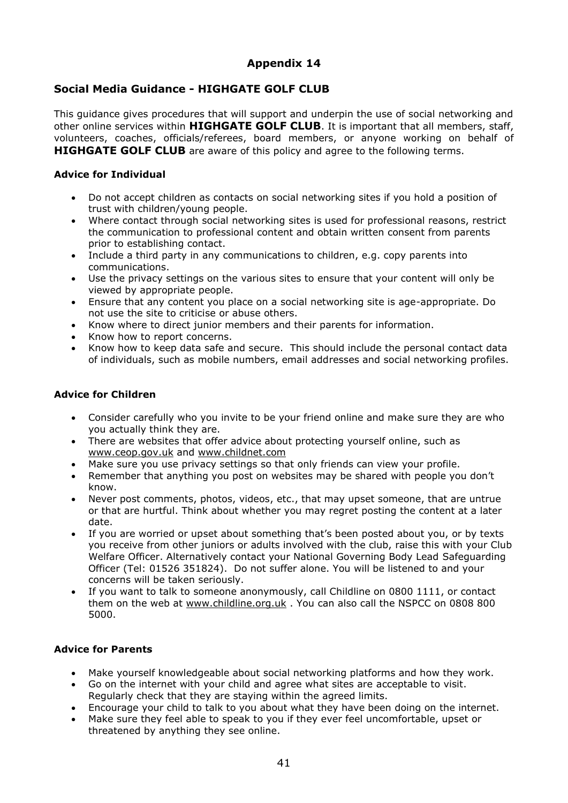#### **Social Media Guidance - HIGHGATE GOLF CLUB**

This guidance gives procedures that will support and underpin the use of social networking and other online services within **HIGHGATE GOLF CLUB**. It is important that all members, staff, volunteers, coaches, officials/referees, board members, or anyone working on behalf of **HIGHGATE GOLF CLUB** are aware of this policy and agree to the following terms.

#### **Advice for Individual**

- Do not accept children as contacts on social networking sites if you hold a position of trust with children/young people.
- Where contact through social networking sites is used for professional reasons, restrict the communication to professional content and obtain written consent from parents prior to establishing contact.
- Include a third party in any communications to children, e.g. copy parents into communications.
- Use the privacy settings on the various sites to ensure that your content will only be viewed by appropriate people.
- Ensure that any content you place on a social networking site is age-appropriate. Do not use the site to criticise or abuse others.
- Know where to direct junior members and their parents for information.
- Know how to report concerns.
- Know how to keep data safe and secure. This should include the personal contact data of individuals, such as mobile numbers, email addresses and social networking profiles.

#### **Advice for Children**

- Consider carefully who you invite to be your friend online and make sure they are who you actually think they are.
- There are websites that offer advice about protecting yourself online, such as [www.ceop.gov.uk](http://www.ceop.gov.uk/) and [www.childnet.com](http://www.childnet.com/)
- Make sure you use privacy settings so that only friends can view your profile.
- Remember that anything you post on websites may be shared with people you don't know.
- Never post comments, photos, videos, etc., that may upset someone, that are untrue or that are hurtful. Think about whether you may regret posting the content at a later date.
- If you are worried or upset about something that's been posted about you, or by texts you receive from other juniors or adults involved with the club, raise this with your Club Welfare Officer. Alternatively contact your National Governing Body Lead Safeguarding Officer [\(Tel: 01526](tel:01526) 351824). Do not suffer alone. You will be listened to and your concerns will be taken seriously.
- If you want to talk to someone anonymously, call Childline on 0800 1111, or contact them on the web at [www.childline.org.uk](http://www.childline.org.uk/) . You can also call the NSPCC on 0808 800 5000.

#### **Advice for Parents**

- Make yourself knowledgeable about social networking platforms and how they work.
- Go on the internet with your child and agree what sites are acceptable to visit. Regularly check that they are staying within the agreed limits.
- Encourage your child to talk to you about what they have been doing on the internet.
- Make sure they feel able to speak to you if they ever feel uncomfortable, upset or threatened by anything they see online.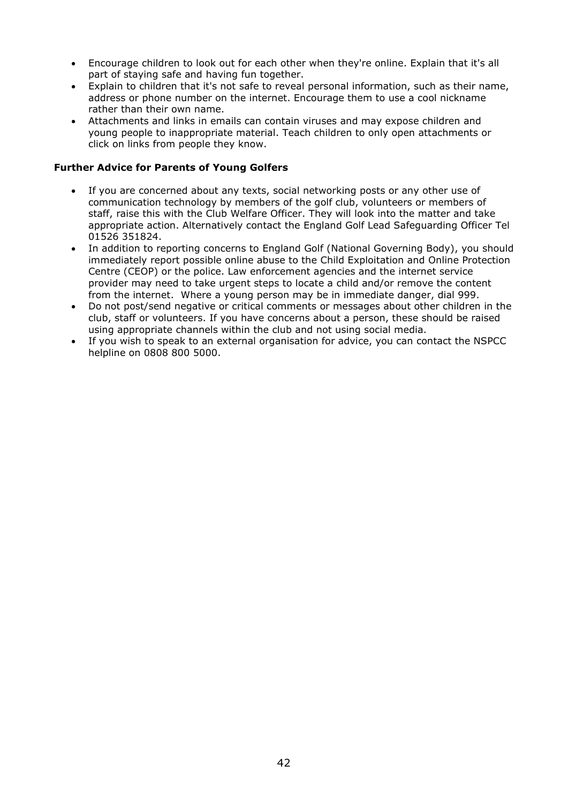- Encourage children to look out for each other when they're online. Explain that it's all part of staying safe and having fun together.
- Explain to children that it's not safe to reveal personal information, such as their name, address or phone number on the internet. Encourage them to use a cool nickname rather than their own name.
- Attachments and links in emails can contain viruses and may expose children and young people to inappropriate material. Teach children to only open attachments or click on links from people they know.

#### **Further Advice for Parents of Young Golfers**

- If you are concerned about any texts, social networking posts or any other use of communication technology by members of the golf club, volunteers or members of staff, raise this with the Club Welfare Officer. They will look into the matter and take appropriate action. Alternatively contact the England Golf Lead Safeguarding Officer Tel 01526 351824.
- In addition to reporting concerns to England Golf (National Governing Body), you should immediately report possible online abuse to the Child Exploitation and Online Protection Centre (CEOP) or the police. Law enforcement agencies and the internet service provider may need to take urgent steps to locate a child and/or remove the content from the internet. Where a young person may be in immediate danger, dial 999.
- Do not post/send negative or critical comments or messages about other children in the club, staff or volunteers. If you have concerns about a person, these should be raised using appropriate channels within the club and not using social media.
- If you wish to speak to an external organisation for advice, you can contact the NSPCC helpline on 0808 800 5000.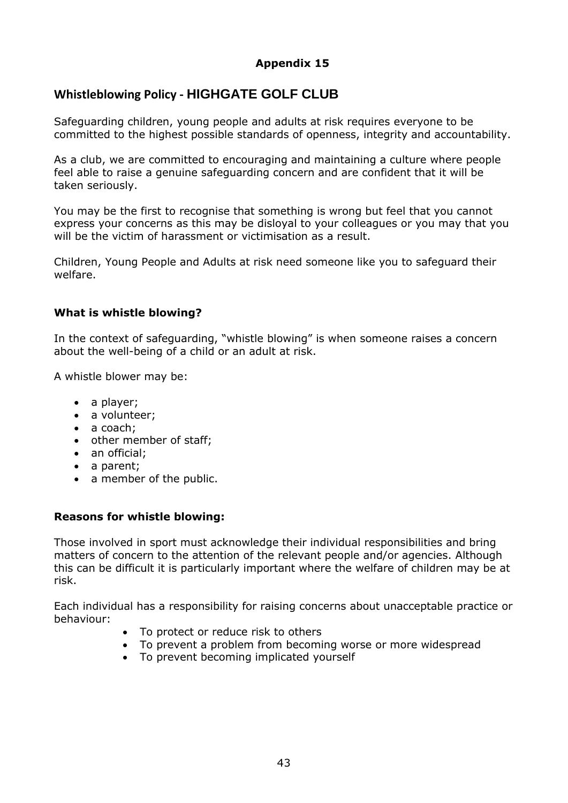#### **Whistleblowing Policy - HIGHGATE GOLF CLUB**

Safeguarding children, young people and adults at risk requires everyone to be committed to the highest possible standards of openness, integrity and accountability.

As a club, we are committed to encouraging and maintaining a culture where people feel able to raise a genuine safeguarding concern and are confident that it will be taken seriously.

You may be the first to recognise that something is wrong but feel that you cannot express your concerns as this may be disloyal to your colleagues or you may that you will be the victim of harassment or victimisation as a result.

Children, Young People and Adults at risk need someone like you to safeguard their welfare.

#### **What is whistle blowing?**

In the context of safeguarding, "whistle blowing" is when someone raises a concern about the well-being of a child or an adult at risk.

A whistle blower may be:

- a player;
- a volunteer;
- a coach:
- other member of staff;
- an official;
- a parent;
- a member of the public.

#### **Reasons for whistle blowing:**

Those involved in sport must acknowledge their individual responsibilities and bring matters of concern to the attention of the relevant people and/or agencies. Although this can be difficult it is particularly important where the welfare of children may be at risk.

Each individual has a responsibility for raising concerns about unacceptable practice or behaviour:

- To protect or reduce risk to others
- To prevent a problem from becoming worse or more widespread
- To prevent becoming implicated yourself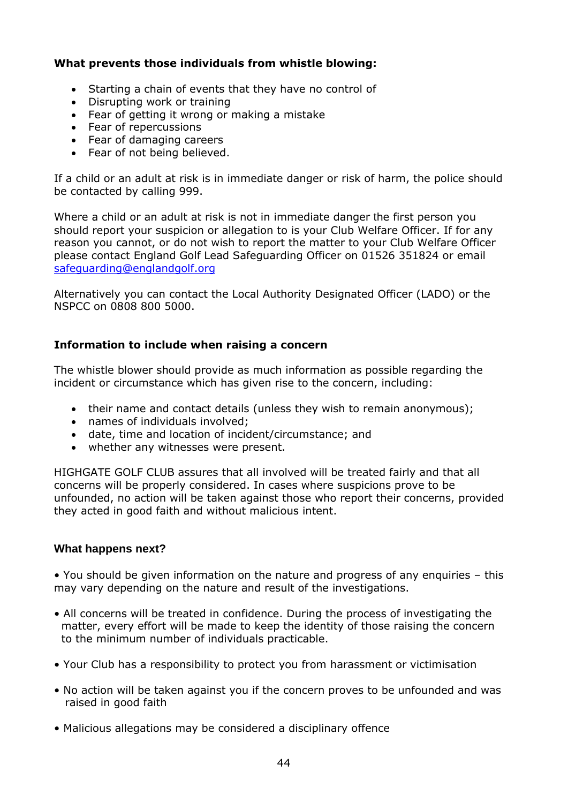#### **What prevents those individuals from whistle blowing:**

- Starting a chain of events that they have no control of
- Disrupting work or training
- Fear of getting it wrong or making a mistake
- Fear of repercussions
- Fear of damaging careers
- Fear of not being believed.

If a child or an adult at risk is in immediate danger or risk of harm, the police should be contacted by calling 999.

Where a child or an adult at risk is not in immediate danger the first person you should report your suspicion or allegation to is your Club Welfare Officer. If for any reason you cannot, or do not wish to report the matter to your Club Welfare Officer please contact England Golf Lead Safeguarding Officer on 01526 351824 or email [safeguarding@englandgolf.org](mailto:safeguarding@englandgolf.org)

Alternatively you can contact the Local Authority Designated Officer (LADO) or the NSPCC on 0808 800 5000.

#### **Information to include when raising a concern**

The whistle blower should provide as much information as possible regarding the incident or circumstance which has given rise to the concern, including:

- their name and contact details (unless they wish to remain anonymous);
- names of individuals involved;
- date, time and location of incident/circumstance; and
- whether any witnesses were present.

HIGHGATE GOLF CLUB assures that all involved will be treated fairly and that all concerns will be properly considered. In cases where suspicions prove to be unfounded, no action will be taken against those who report their concerns, provided they acted in good faith and without malicious intent.

#### **What happens next?**

• You should be given information on the nature and progress of any enquiries – this may vary depending on the nature and result of the investigations.

- All concerns will be treated in confidence. During the process of investigating the matter, every effort will be made to keep the identity of those raising the concern to the minimum number of individuals practicable.
- Your Club has a responsibility to protect you from harassment or victimisation
- No action will be taken against you if the concern proves to be unfounded and was raised in good faith
- Malicious allegations may be considered a disciplinary offence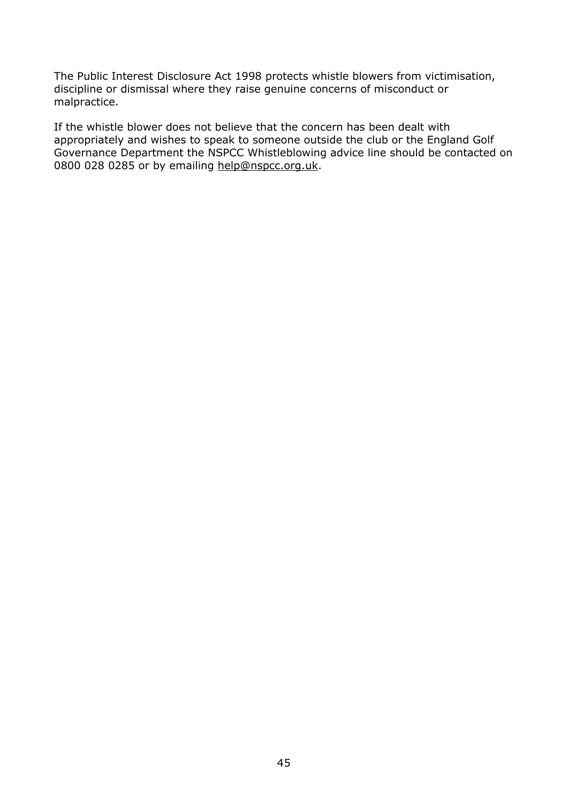The Public Interest Disclosure Act 1998 protects whistle blowers from victimisation, discipline or dismissal where they raise genuine concerns of misconduct or malpractice.

If the whistle blower does not believe that the concern has been dealt with appropriately and wishes to speak to someone outside the club or the England Golf Governance Department the NSPCC Whistleblowing advice line should be contacted on 0800 028 0285 or by emailing [help@nspcc.org.uk.](mailto:help@nspcc.org.uk)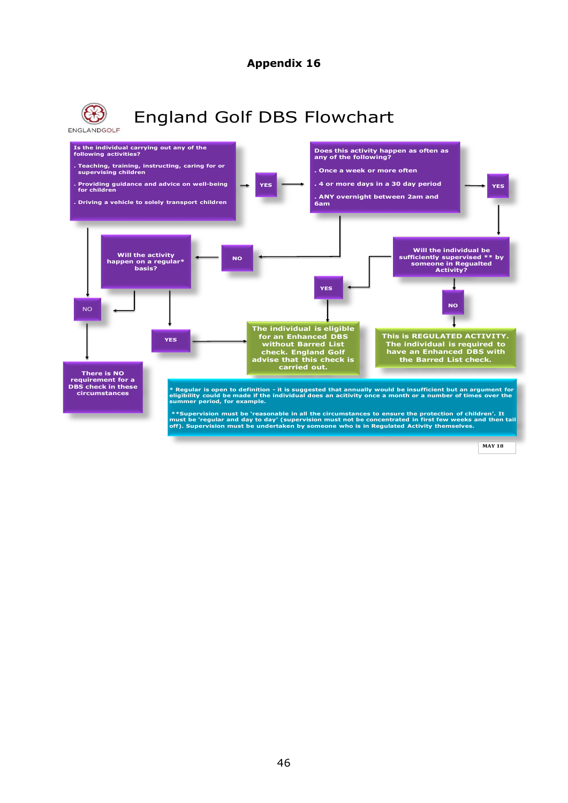

46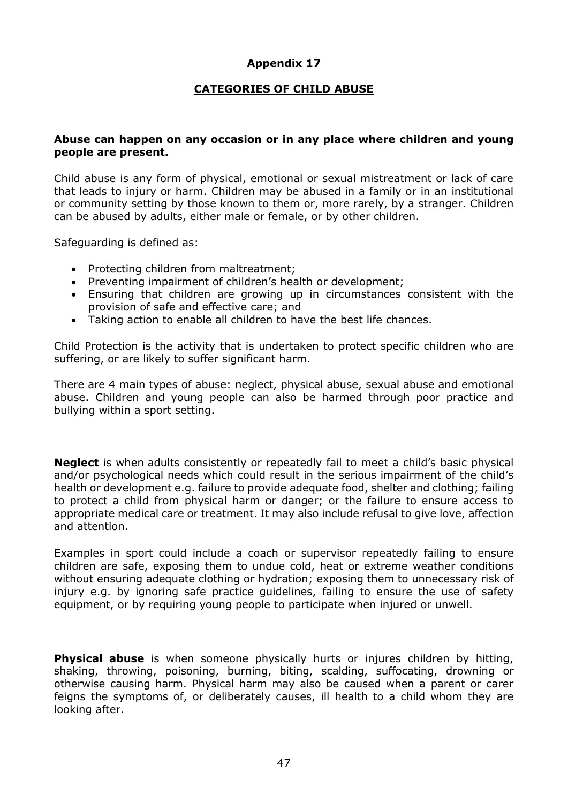#### **CATEGORIES OF CHILD ABUSE**

#### **Abuse can happen on any occasion or in any place where children and young people are present.**

Child abuse is any form of physical, emotional or sexual mistreatment or lack of care that leads to injury or harm. Children may be abused in a family or in an institutional or community setting by those known to them or, more rarely, by a stranger. Children can be abused by adults, either male or female, or by other children.

Safeguarding is defined as:

- Protecting children from maltreatment;
- Preventing impairment of children's health or development;
- Ensuring that children are growing up in circumstances consistent with the provision of safe and effective care; and
- Taking action to enable all children to have the best life chances.

Child Protection is the activity that is undertaken to protect specific children who are suffering, or are likely to suffer significant harm.

There are 4 main types of abuse: neglect, physical abuse, sexual abuse and emotional abuse. Children and young people can also be harmed through poor practice and bullying within a sport setting.

**Neglect** is when adults consistently or repeatedly fail to meet a child's basic physical and/or psychological needs which could result in the serious impairment of the child's health or development e.g. failure to provide adequate food, shelter and clothing; failing to protect a child from physical harm or danger; or the failure to ensure access to appropriate medical care or treatment. It may also include refusal to give love, affection and attention.

Examples in sport could include a coach or supervisor repeatedly failing to ensure children are safe, exposing them to undue cold, heat or extreme weather conditions without ensuring adequate clothing or hydration; exposing them to unnecessary risk of injury e.g. by ignoring safe practice guidelines, failing to ensure the use of safety equipment, or by requiring young people to participate when injured or unwell.

**Physical abuse** is when someone physically hurts or injures children by hitting, shaking, throwing, poisoning, burning, biting, scalding, suffocating, drowning or otherwise causing harm. Physical harm may also be caused when a parent or carer feigns the symptoms of, or deliberately causes, ill health to a child whom they are looking after.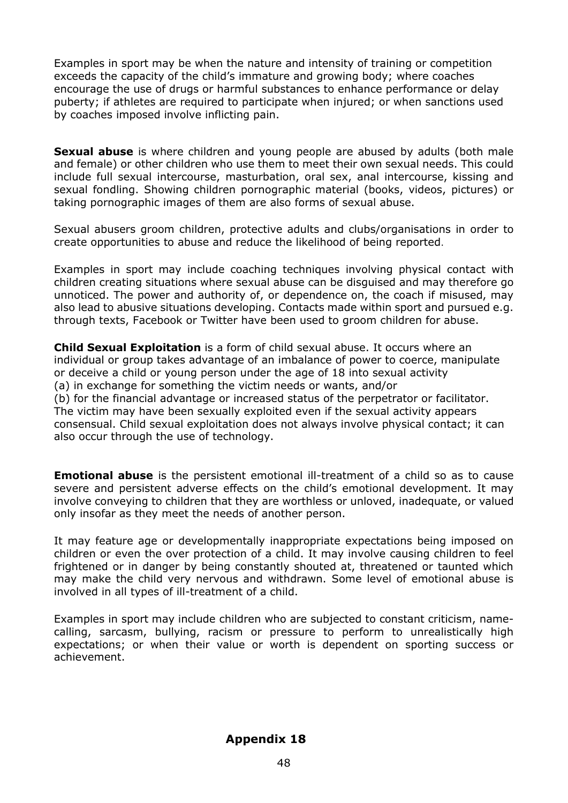Examples in sport may be when the nature and intensity of training or competition exceeds the capacity of the child's immature and growing body; where coaches encourage the use of drugs or harmful substances to enhance performance or delay puberty; if athletes are required to participate when injured; or when sanctions used by coaches imposed involve inflicting pain.

**Sexual abuse** is where children and young people are abused by adults (both male and female) or other children who use them to meet their own sexual needs. This could include full sexual intercourse, masturbation, oral sex, anal intercourse, kissing and sexual fondling. Showing children pornographic material (books, videos, pictures) or taking pornographic images of them are also forms of sexual abuse.

Sexual abusers groom children, protective adults and clubs/organisations in order to create opportunities to abuse and reduce the likelihood of being reported.

Examples in sport may include coaching techniques involving physical contact with children creating situations where sexual abuse can be disguised and may therefore go unnoticed. The power and authority of, or dependence on, the coach if misused, may also lead to abusive situations developing. Contacts made within sport and pursued e.g. through texts, Facebook or Twitter have been used to groom children for abuse.

**Child Sexual Exploitation** is a form of child sexual abuse. It occurs where an individual or group takes advantage of an imbalance of power to coerce, manipulate or deceive a child or young person under the age of 18 into sexual activity (a) in exchange for something the victim needs or wants, and/or (b) for the financial advantage or increased status of the perpetrator or facilitator. The victim may have been sexually exploited even if the sexual activity appears consensual. Child sexual exploitation does not always involve physical contact; it can also occur through the use of technology.

**Emotional abuse** is the persistent emotional ill-treatment of a child so as to cause severe and persistent adverse effects on the child's emotional development. It may involve conveying to children that they are worthless or unloved, inadequate, or valued only insofar as they meet the needs of another person.

It may feature age or developmentally inappropriate expectations being imposed on children or even the over protection of a child. It may involve causing children to feel frightened or in danger by being constantly shouted at, threatened or taunted which may make the child very nervous and withdrawn. Some level of emotional abuse is involved in all types of ill-treatment of a child.

Examples in sport may include children who are subjected to constant criticism, namecalling, sarcasm, bullying, racism or pressure to perform to unrealistically high expectations; or when their value or worth is dependent on sporting success or achievement.

#### **Appendix 18**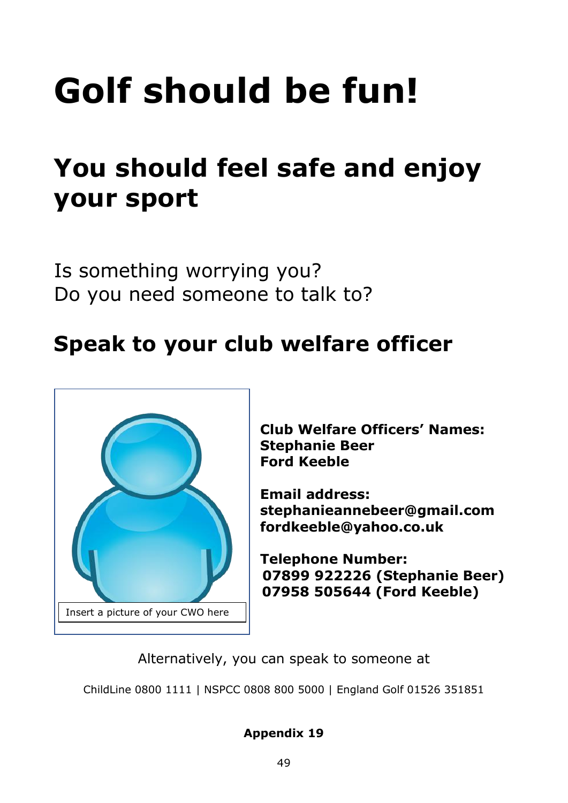# **Golf should be fun!**

# **You should feel safe and enjoy your sport**

Is something worrying you? Do you need someone to talk to?

# **Speak to your club welfare officer**



**Club Welfare Officers' Names: Stephanie Beer Ford Keeble**

**Email address: stephanieannebeer@gmail.com fordkeeble@yahoo.co.uk**

**Telephone Number: 07899 922226 (Stephanie Beer) 07958 505644 (Ford Keeble)**

Alternatively, you can speak to someone at

ChildLine 0800 1111 | NSPCC 0808 800 5000 | England Golf 01526 351851

#### **Appendix 19**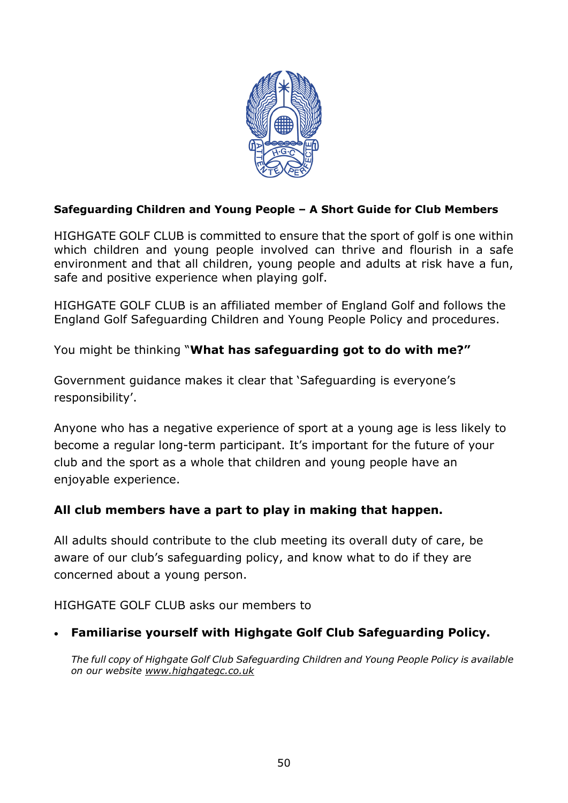

#### **Safeguarding Children and Young People – A Short Guide for Club Members**

HIGHGATE GOLF CLUB is committed to ensure that the sport of golf is one within which children and young people involved can thrive and flourish in a safe environment and that all children, young people and adults at risk have a fun, safe and positive experience when playing golf.

HIGHGATE GOLF CLUB is an affiliated member of England Golf and follows the England Golf Safeguarding Children and Young People Policy and procedures.

You might be thinking "**What has safeguarding got to do with me?"**

Government guidance makes it clear that 'Safeguarding is everyone's responsibility'.

Anyone who has a negative experience of sport at a young age is less likely to become a regular long-term participant. It's important for the future of your club and the sport as a whole that children and young people have an enjoyable experience.

#### **All club members have a part to play in making that happen.**

All adults should contribute to the club meeting its overall duty of care, be aware of our club's safeguarding policy, and know what to do if they are concerned about a young person.

HIGHGATE GOLF CLUB asks our members to

#### • **Familiarise yourself with Highgate Golf Club Safeguarding Policy.**

*The full copy of Highgate Golf Club Safeguarding Children and Young People Policy is available on our website [www.highgategc.co.uk](http://www.highgategc.co.uk/)*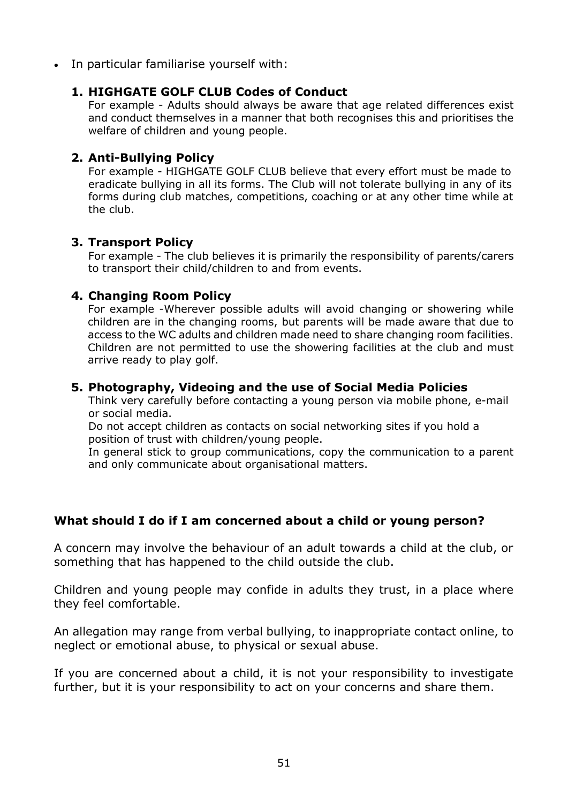• In particular familiarise yourself with:

#### **1. HIGHGATE GOLF CLUB Codes of Conduct**

For example - Adults should always be aware that age related differences exist and conduct themselves in a manner that both recognises this and prioritises the welfare of children and young people.

#### **2. Anti-Bullying Policy**

For example - HIGHGATE GOLF CLUB believe that every effort must be made to eradicate bullying in all its forms. The Club will not tolerate bullying in any of its forms during club matches, competitions, coaching or at any other time while at the club.

#### **3. Transport Policy**

For example - The club believes it is primarily the responsibility of parents/carers to transport their child/children to and from events.

#### **4. Changing Room Policy**

For example -Wherever possible adults will avoid changing or showering while children are in the changing rooms, but parents will be made aware that due to access to the WC adults and children made need to share changing room facilities. Children are not permitted to use the showering facilities at the club and must arrive ready to play golf.

#### **5. Photography, Videoing and the use of Social Media Policies**

Think very carefully before contacting a young person via mobile phone, e-mail or social media.

Do not accept children as contacts on social networking sites if you hold a position of trust with children/young people.

In general stick to group communications, copy the communication to a parent and only communicate about organisational matters.

#### **What should I do if I am concerned about a child or young person?**

A concern may involve the behaviour of an adult towards a child at the club, or something that has happened to the child outside the club.

Children and young people may confide in adults they trust, in a place where they feel comfortable.

An allegation may range from verbal bullying, to inappropriate contact online, to neglect or emotional abuse, to physical or sexual abuse.

If you are concerned about a child, it is not your responsibility to investigate further, but it is your responsibility to act on your concerns and share them.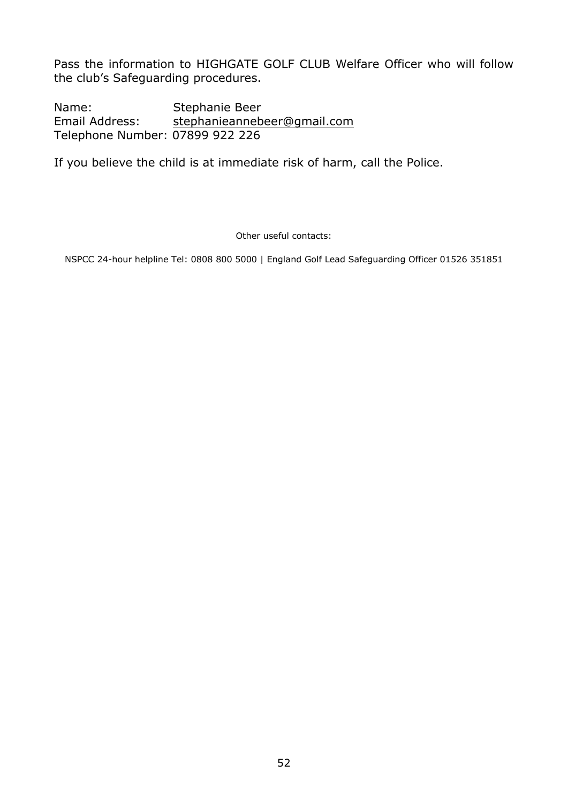Pass the information to HIGHGATE GOLF CLUB Welfare Officer who will follow the club's Safeguarding procedures.

Name: Stephanie Beer Email Address: [stephanieannebeer@gmail.com](mailto:stephanieannebeer@gmail.com) Telephone Number: 07899 922 226

If you believe the child is at immediate risk of harm, call the Police.

Other useful contacts:

NSPCC 24-hour helpline Tel: 0808 800 5000 | England Golf Lead Safeguarding Officer 01526 351851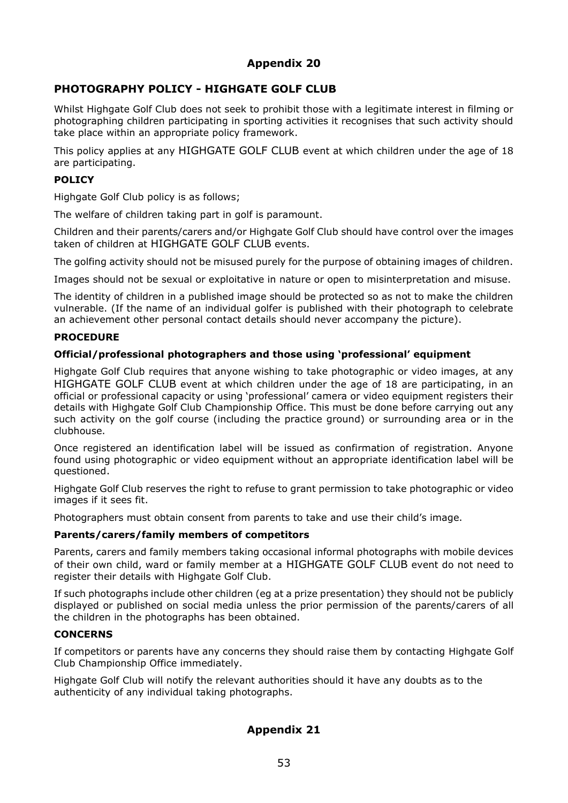#### **PHOTOGRAPHY POLICY - HIGHGATE GOLF CLUB**

Whilst Highgate Golf Club does not seek to prohibit those with a legitimate interest in filming or photographing children participating in sporting activities it recognises that such activity should take place within an appropriate policy framework.

This policy applies at any HIGHGATE GOLF CLUB event at which children under the age of 18 are participating.

#### **POLICY**

Highgate Golf Club policy is as follows;

The welfare of children taking part in golf is paramount.

Children and their parents/carers and/or Highgate Golf Club should have control over the images taken of children at HIGHGATE GOLF CLUB events.

The golfing activity should not be misused purely for the purpose of obtaining images of children.

Images should not be sexual or exploitative in nature or open to misinterpretation and misuse.

The identity of children in a published image should be protected so as not to make the children vulnerable. (If the name of an individual golfer is published with their photograph to celebrate an achievement other personal contact details should never accompany the picture).

#### **PROCEDURE**

#### **Official/professional photographers and those using 'professional' equipment**

Highgate Golf Club requires that anyone wishing to take photographic or video images, at any HIGHGATE GOLF CLUB event at which children under the age of 18 are participating, in an official or professional capacity or using 'professional' camera or video equipment registers their details with Highgate Golf Club Championship Office. This must be done before carrying out any such activity on the golf course (including the practice ground) or surrounding area or in the clubhouse.

Once registered an identification label will be issued as confirmation of registration. Anyone found using photographic or video equipment without an appropriate identification label will be questioned.

Highgate Golf Club reserves the right to refuse to grant permission to take photographic or video images if it sees fit.

Photographers must obtain consent from parents to take and use their child's image.

#### **Parents/carers/family members of competitors**

Parents, carers and family members taking occasional informal photographs with mobile devices of their own child, ward or family member at a HIGHGATE GOLF CLUB event do not need to register their details with Highgate Golf Club.

If such photographs include other children (eg at a prize presentation) they should not be publicly displayed or published on social media unless the prior permission of the parents/carers of all the children in the photographs has been obtained.

#### **CONCERNS**

If competitors or parents have any concerns they should raise them by contacting Highgate Golf Club Championship Office immediately.

Highgate Golf Club will notify the relevant authorities should it have any doubts as to the authenticity of any individual taking photographs.

#### **Appendix 21**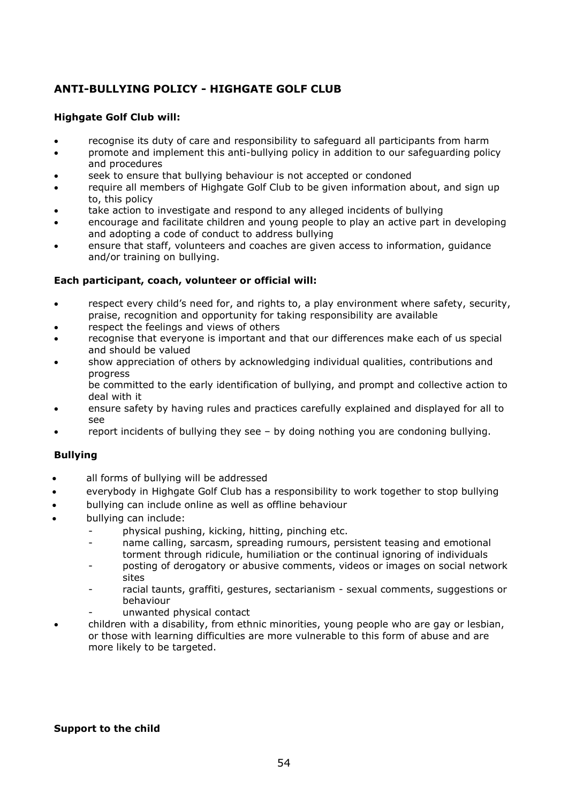#### **ANTI-BULLYING POLICY - HIGHGATE GOLF CLUB**

#### **Highgate Golf Club will:**

- recognise its duty of care and responsibility to safeguard all participants from harm
- promote and implement this anti-bullying policy in addition to our safeguarding policy and procedures
- seek to ensure that bullying behaviour is not accepted or condoned
- require all members of Highgate Golf Club to be given information about, and sign up to, this policy
- take action to investigate and respond to any alleged incidents of bullying
- encourage and facilitate children and young people to play an active part in developing and adopting a code of conduct to address bullying
- ensure that staff, volunteers and coaches are given access to information, guidance and/or training on bullying.

#### **Each participant, coach, volunteer or official will:**

- respect every child's need for, and rights to, a play environment where safety, security, praise, recognition and opportunity for taking responsibility are available
- respect the feelings and views of others
- recognise that everyone is important and that our differences make each of us special and should be valued
- show appreciation of others by acknowledging individual qualities, contributions and progress
	- be committed to the early identification of bullying, and prompt and collective action to deal with it
- ensure safety by having rules and practices carefully explained and displayed for all to see
- report incidents of bullying they see by doing nothing you are condoning bullying.

#### **Bullying**

- all forms of bullying will be addressed
- everybody in Highgate Golf Club has a responsibility to work together to stop bullying
- bullying can include online as well as offline behaviour
- bullying can include:
	- physical pushing, kicking, hitting, pinching etc.
	- name calling, sarcasm, spreading rumours, persistent teasing and emotional torment through ridicule, humiliation or the continual ignoring of individuals
	- posting of derogatory or abusive comments, videos or images on social network sites
	- racial taunts, graffiti, gestures, sectarianism sexual comments, suggestions or behaviour
	- unwanted physical contact
- children with a disability, from ethnic minorities, young people who are gay or lesbian, or those with learning difficulties are more vulnerable to this form of abuse and are more likely to be targeted.

#### **Support to the child**